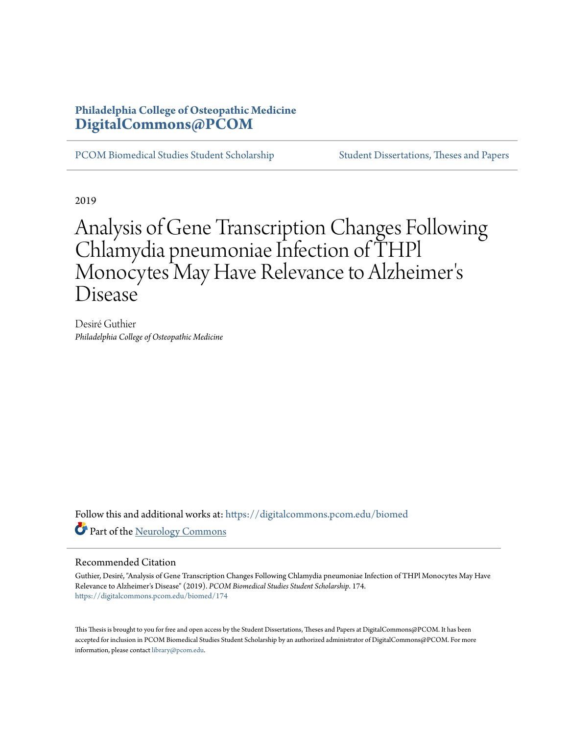## **Philadelphia College of Osteopathic Medicine [DigitalCommons@PCOM](https://digitalcommons.pcom.edu/?utm_source=digitalcommons.pcom.edu%2Fbiomed%2F174&utm_medium=PDF&utm_campaign=PDFCoverPages)**

[PCOM Biomedical Studies Student Scholarship](https://digitalcommons.pcom.edu/biomed?utm_source=digitalcommons.pcom.edu%2Fbiomed%2F174&utm_medium=PDF&utm_campaign=PDFCoverPages) [Student Dissertations, Theses and Papers](https://digitalcommons.pcom.edu/etds?utm_source=digitalcommons.pcom.edu%2Fbiomed%2F174&utm_medium=PDF&utm_campaign=PDFCoverPages)

2019

## Analysis of Gene Transcription Changes Following Chlamydia pneumoniae Infection of THPl Monocytes May Have Relevance to Alzheimer ' s Disease

Desiré Guthier *Philadelphia College of Osteopathic Medicine*

Follow this and additional works at: [https://digitalcommons.pcom.edu/biomed](https://digitalcommons.pcom.edu/biomed?utm_source=digitalcommons.pcom.edu%2Fbiomed%2F174&utm_medium=PDF&utm_campaign=PDFCoverPages) Part of the [Neurology Commons](http://network.bepress.com/hgg/discipline/692?utm_source=digitalcommons.pcom.edu%2Fbiomed%2F174&utm_medium=PDF&utm_campaign=PDFCoverPages)

#### Recommended Citation

Guthier, Desiré, "Analysis of Gene Transcription Changes Following Chlamydia pneumoniae Infection of THPl Monocytes May Have Relevance to Alzheimer's Disease" (2019). *PCOM Biomedical Studies Student Scholarship*. 174. [https://digitalcommons.pcom.edu/biomed/174](https://digitalcommons.pcom.edu/biomed/174?utm_source=digitalcommons.pcom.edu%2Fbiomed%2F174&utm_medium=PDF&utm_campaign=PDFCoverPages)

This Thesis is brought to you for free and open access by the Student Dissertations, Theses and Papers at DigitalCommons@PCOM. It has been accepted for inclusion in PCOM Biomedical Studies Student Scholarship by an authorized administrator of DigitalCommons@PCOM. For more information, please contact [library@pcom.edu.](mailto:library@pcom.edu)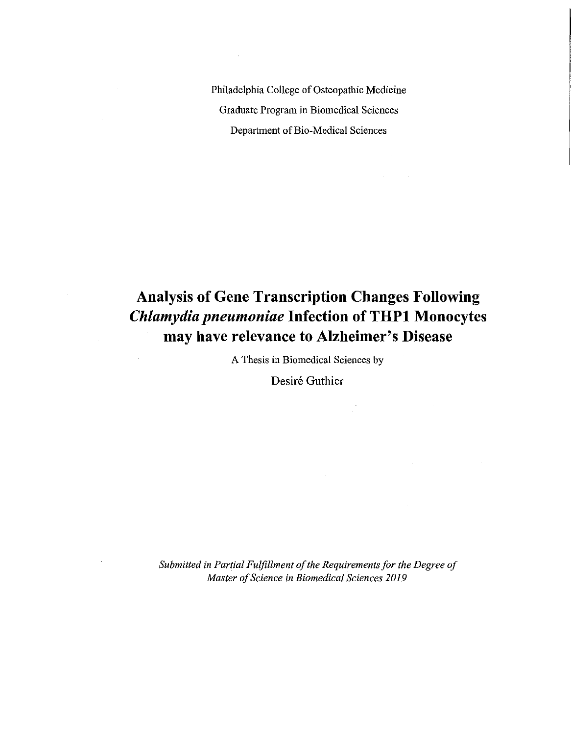Philadelphia College of Osteopathic Medicine Graduate Program in Biomedical Sciences Department of Bio-Medical Sciences

# **Analysis of Gene Transcription Changes Following**  *Chlamydia pneumoniae* **Infection of THPl Monocytes may have relevance to Alzheimer's Disease**

A Thesis in Biomedical Sciences by

 $\hat{\mathcal{A}}$ 

Desiré Guthier

*Submitted in Partial Fulfillment of the Requirements for the Degree of Master of Science in Biomedical Sciences 2019*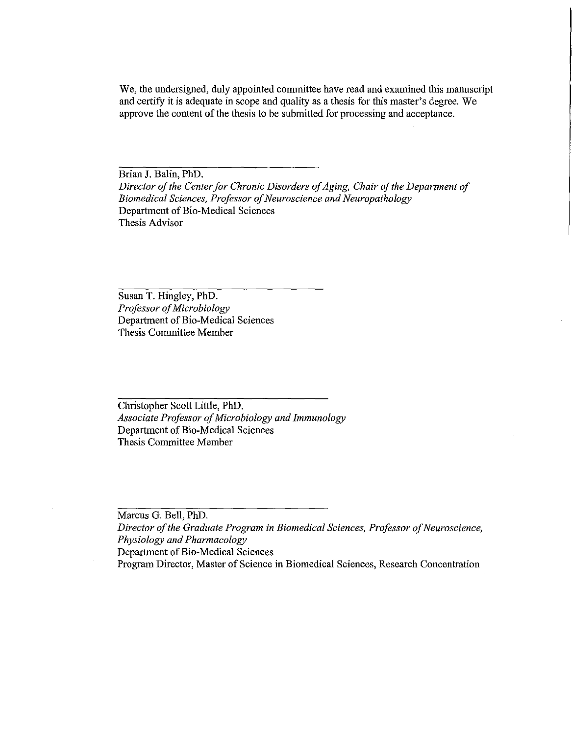We, the undersigned, duly appointed committee have read and examined this manuscript and certify it is adequate in scope and quality as a thesis for this master's degree. We approve the content of the thesis to be submitted for processing and acceptance.

Brian J. Balin, PhD. *Director of the Center for Chronic Disorders of Aging, Chair of the Department of Biomedical Sciences, Professor of Neuroscience and Neuropathology*  Department of Bio-Medical Sciences Thesis Advisor

Susan T. Hingley, PhD. *Professor of Microbiology*  Department of Bio-Medical Sciences Thesis Committee Member

Christopher Scott Little, PhD. *Associate Professor of Microbiology and Immunology*  Department of Bio-Medical Sciences Thesis Committee Member

Marcus G. Bell, PhD. *Director of the Graduate Program in Biomedical Sciences, Professor of Neuroscience, Physiology and Pharmacology*  Department of Bio-Medical Sciences Program Director, Master of Science in Biomedical Sciences, Research Concentration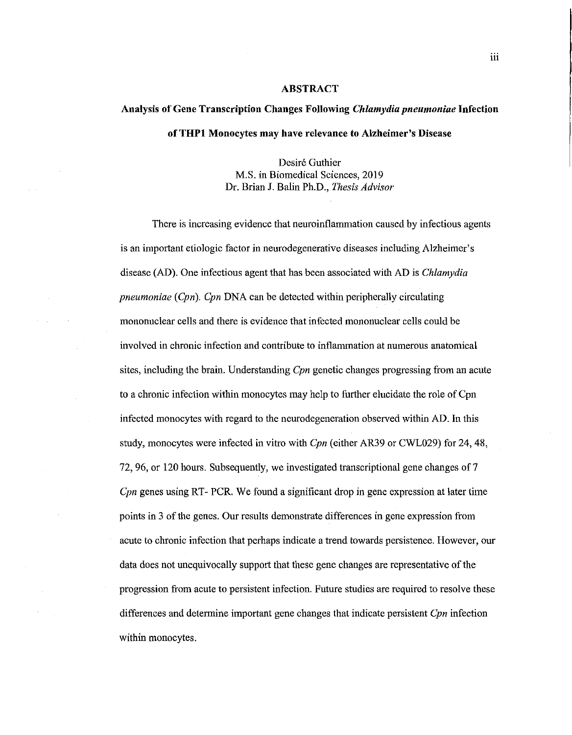#### **ABSTRACT**

## **Analysis of Gene Transcription Changes Following** *Chlamydia pneumoniae* **Infection ofTHPl Monocytes may have relevance to Alzheimer's Disease**

Desiré Guthier M.S. in Biomedical Sciences, 2019 Dr. Brian J. Balin Ph.D., *Thesis Advisor* 

There is increasing evidence that neuroinflammation caused by infectious agents is an important etiologic factor in neurodegenerative diseases including Alzheimer's disease (AD). One infectious agent that has been associated with AD is *Chlamydia pneumoniae (Cpn). Cpn* DNA can be detected within peripherally circulating mononuclear cells and there is evidence that infected mononuclear cells could be involved in chronic infection and contribute to inflammation at numerous anatomical sites, including the brain. Understanding *Cpn* genetic changes progressing from an acute to a chronic infection within monocytes may help to further elucidate the role of Cpn infected monocytes with regard to the neurodegeneration observed within AD. In this study, monocytes were infected in vitro with *Cpn* (either AR39 or CWL029) for 24, 48, 72, 96, or 120 hours. Subsequently, we investigated transcriptional gene changes of 7 *Cpn* genes using RT- PCR. We found a significant drop in gene expression at later time points in 3 of the genes. Our results demonstrate differences in gene expression from acute to chronic infection that perhaps indicate a trend towards persistence. However, our data does not unequivocally support that these gene changes are representative of the progression from acute to persistent infection. Future studies are required to resolve these differences and determine important gene changes that indicate persistent *Cpn* infection within monocytes.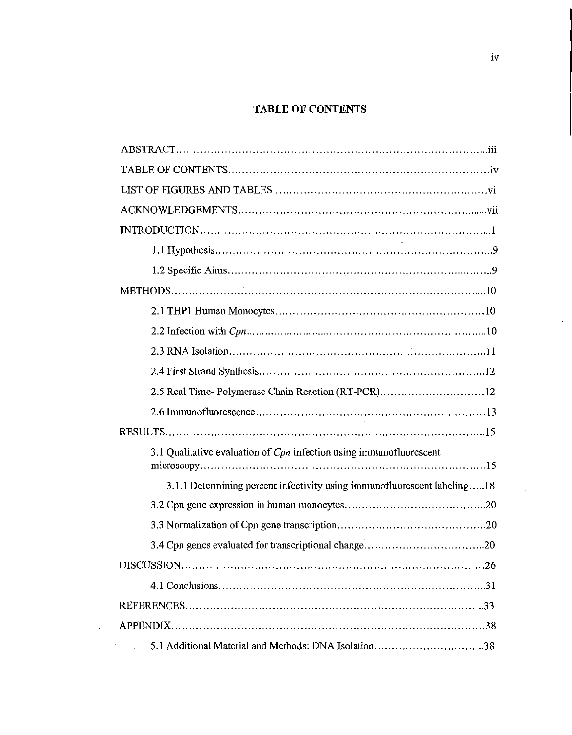### **TABLE OF CONTENTS**

| 2.5 Real Time-Polymerase Chain Reaction (RT-PCR)12                       |
|--------------------------------------------------------------------------|
|                                                                          |
|                                                                          |
| 3.1 Qualitative evaluation of Cpn infection using immunofluorescent      |
| 3.1.1 Determining percent infectivity using immunofluorescent labeling18 |
|                                                                          |
|                                                                          |
|                                                                          |
|                                                                          |
|                                                                          |
|                                                                          |
|                                                                          |
| 5.1 Additional Material and Methods: DNA Isolation38                     |

 $\sim 10^6$ 

 $\mathcal{A}^{\mathrm{c}}_{\mathrm{c}}$  ,  $\mathcal{A}^{\mathrm{c}}_{\mathrm{c}}$ 

 $\label{eq:2} \frac{1}{\sqrt{2}}\sum_{i=1}^n\frac{1}{\sqrt{2}}\sum_{i=1}^n\frac{1}{\sqrt{2}}\sum_{i=1}^n\frac{1}{\sqrt{2}}\sum_{i=1}^n\frac{1}{\sqrt{2}}\sum_{i=1}^n\frac{1}{\sqrt{2}}\sum_{i=1}^n\frac{1}{\sqrt{2}}\sum_{i=1}^n\frac{1}{\sqrt{2}}\sum_{i=1}^n\frac{1}{\sqrt{2}}\sum_{i=1}^n\frac{1}{\sqrt{2}}\sum_{i=1}^n\frac{1}{\sqrt{2}}\sum_{i=1}^n\frac{1$ 

 $\tilde{A}$  ,  $\tilde{A}$ 

 $\mathcal{A}^{\mathcal{A}}$ 

 $\mathcal{O}(\mathcal{O}(\log n))$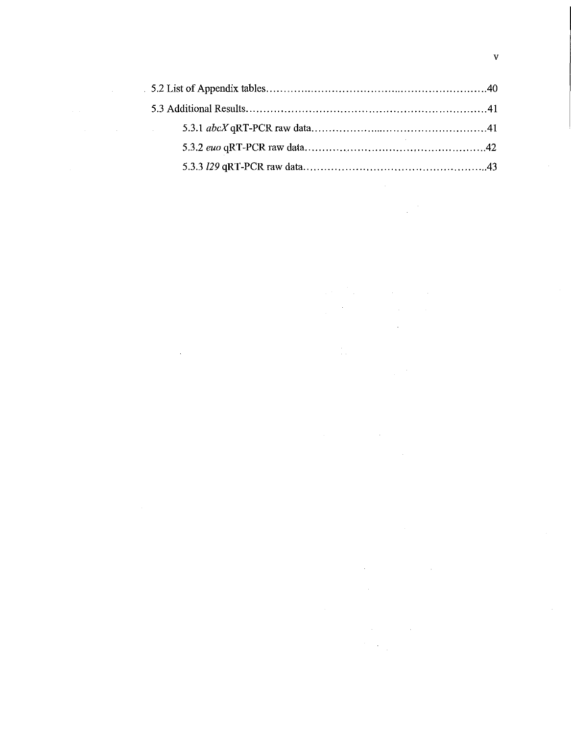| the property of the control of the control of the control of |  |
|--------------------------------------------------------------|--|
|                                                              |  |
|                                                              |  |

 $\label{eq:2.1} \frac{1}{\sqrt{2}}\int_{\mathbb{R}^3}\frac{1}{\sqrt{2}}\left(\frac{1}{\sqrt{2}}\right)^2\frac{1}{\sqrt{2}}\left(\frac{1}{\sqrt{2}}\right)^2\frac{1}{\sqrt{2}}\left(\frac{1}{\sqrt{2}}\right)^2.$ 

 $\label{eq:2.1} \frac{1}{2}\sum_{i=1}^n\frac{1}{2}\sum_{j=1}^n\frac{1}{2}\sum_{j=1}^n\frac{1}{2}\sum_{j=1}^n\frac{1}{2}\sum_{j=1}^n\frac{1}{2}\sum_{j=1}^n\frac{1}{2}\sum_{j=1}^n\frac{1}{2}\sum_{j=1}^n\frac{1}{2}\sum_{j=1}^n\frac{1}{2}\sum_{j=1}^n\frac{1}{2}\sum_{j=1}^n\frac{1}{2}\sum_{j=1}^n\frac{1}{2}\sum_{j=1}^n\frac{1}{2}\sum_{j=1}^n\$ 

 $\label{eq:2.1} \frac{1}{\sqrt{2}}\left(\frac{1}{\sqrt{2}}\right)^{2} \left(\frac{1}{\sqrt{2}}\right)^{2} \left(\frac{1}{\sqrt{2}}\right)^{2} \left(\frac{1}{\sqrt{2}}\right)^{2} \left(\frac{1}{\sqrt{2}}\right)^{2} \left(\frac{1}{\sqrt{2}}\right)^{2} \left(\frac{1}{\sqrt{2}}\right)^{2} \left(\frac{1}{\sqrt{2}}\right)^{2} \left(\frac{1}{\sqrt{2}}\right)^{2} \left(\frac{1}{\sqrt{2}}\right)^{2} \left(\frac{1}{\sqrt{2}}\right)^{2} \left(\$ 

 $\label{eq:2.1} \frac{1}{\sqrt{2}}\int_{\mathbb{R}^3}\frac{1}{\sqrt{2}}\left(\frac{1}{\sqrt{2}}\right)^2\frac{1}{\sqrt{2}}\left(\frac{1}{\sqrt{2}}\right)^2\frac{1}{\sqrt{2}}\left(\frac{1}{\sqrt{2}}\right)^2\frac{1}{\sqrt{2}}\left(\frac{1}{\sqrt{2}}\right)^2.$ 

 $\sim 10$ 

 $\label{eq:2.1} \mathcal{L}(\mathcal{L}^{\mathcal{L}}_{\mathcal{L}}(\mathcal{L}^{\mathcal{L}}_{\mathcal{L}})) \leq \mathcal{L}(\mathcal{L}^{\mathcal{L}}_{\mathcal{L}}(\mathcal{L}^{\mathcal{L}}_{\mathcal{L}})) \leq \mathcal{L}(\mathcal{L}^{\mathcal{L}}_{\mathcal{L}}(\mathcal{L}^{\mathcal{L}}_{\mathcal{L}}))$ 

 $\label{eq:2.1} \frac{1}{\sqrt{2\pi}}\int_{\mathbb{R}^3}\frac{1}{\sqrt{2\pi}}\int_{\mathbb{R}^3}\frac{1}{\sqrt{2\pi}}\int_{\mathbb{R}^3}\frac{1}{\sqrt{2\pi}}\int_{\mathbb{R}^3}\frac{1}{\sqrt{2\pi}}\int_{\mathbb{R}^3}\frac{1}{\sqrt{2\pi}}\int_{\mathbb{R}^3}\frac{1}{\sqrt{2\pi}}\int_{\mathbb{R}^3}\frac{1}{\sqrt{2\pi}}\int_{\mathbb{R}^3}\frac{1}{\sqrt{2\pi}}\int_{\mathbb{R}^3}\frac{1$ 

 $\label{eq:2.1} \frac{1}{\sqrt{2}}\left(\frac{1}{\sqrt{2}}\right)^{2} \left(\frac{1}{\sqrt{2}}\right)^{2} \left(\frac{1}{\sqrt{2}}\right)^{2} \left(\frac{1}{\sqrt{2}}\right)^{2} \left(\frac{1}{\sqrt{2}}\right)^{2} \left(\frac{1}{\sqrt{2}}\right)^{2} \left(\frac{1}{\sqrt{2}}\right)^{2} \left(\frac{1}{\sqrt{2}}\right)^{2} \left(\frac{1}{\sqrt{2}}\right)^{2} \left(\frac{1}{\sqrt{2}}\right)^{2} \left(\frac{1}{\sqrt{2}}\right)^{2} \left(\$ 

 $\label{eq:2.1} \mathcal{L}(\mathcal{L}^{\mathcal{L}}_{\mathcal{L}}(\mathcal{L}^{\mathcal{L}}_{\mathcal{L}})) = \mathcal{L}(\mathcal{L}^{\mathcal{L}}_{\mathcal{L}}(\mathcal{L}^{\mathcal{L}}_{\mathcal{L}})) = \mathcal{L}(\mathcal{L}^{\mathcal{L}}_{\mathcal{L}}(\mathcal{L}^{\mathcal{L}}_{\mathcal{L}}))$ 

 $\label{eq:2.1} \mathcal{L}(\mathcal{L}^{\text{max}}_{\mathcal{L}}(\mathcal{L}^{\text{max}}_{\mathcal{L}})) \leq \mathcal{L}(\mathcal{L}^{\text{max}}_{\mathcal{L}}(\mathcal{L}^{\text{max}}_{\mathcal{L}}))$ 

 $\label{eq:2.1} \mathcal{L}(\mathcal{L}^{\text{max}}_{\mathcal{L}}(\mathcal{L}^{\text{max}}_{\mathcal{L}}),\mathcal{L}^{\text{max}}_{\mathcal{L}}(\mathcal{L}^{\text{max}}_{\mathcal{L}}))$ 

 $\label{eq:2.1} \frac{1}{\sqrt{2}}\left(\frac{1}{\sqrt{2}}\right)^{2} \left(\frac{1}{\sqrt{2}}\right)^{2} \left(\frac{1}{\sqrt{2}}\right)^{2} \left(\frac{1}{\sqrt{2}}\right)^{2} \left(\frac{1}{\sqrt{2}}\right)^{2} \left(\frac{1}{\sqrt{2}}\right)^{2} \left(\frac{1}{\sqrt{2}}\right)^{2} \left(\frac{1}{\sqrt{2}}\right)^{2} \left(\frac{1}{\sqrt{2}}\right)^{2} \left(\frac{1}{\sqrt{2}}\right)^{2} \left(\frac{1}{\sqrt{2}}\right)^{2} \left(\$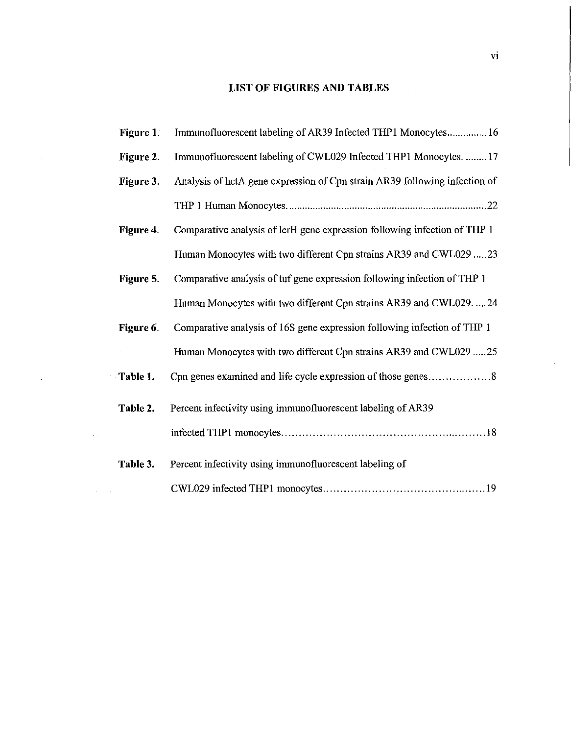## **LIST OF FIGURES AND TABLES**

 $\label{eq:2.1} \frac{1}{\sqrt{2}}\int_{\mathbb{R}^3}\frac{1}{\sqrt{2}}\left(\frac{1}{\sqrt{2}}\right)^2\frac{1}{\sqrt{2}}\left(\frac{1}{\sqrt{2}}\right)^2\frac{1}{\sqrt{2}}\left(\frac{1}{\sqrt{2}}\right)^2.$ 

| Figure 1. | Immunofluorescent labeling of AR39 Infected THP1 Monocytes 16              |
|-----------|----------------------------------------------------------------------------|
| Figure 2. | Immunofluorescent labeling of CWL029 Infected THP1 Monocytes.  17          |
| Figure 3. | Analysis of hctA gene expression of Cpn strain AR39 following infection of |
|           |                                                                            |
| Figure 4. | Comparative analysis of lcrH gene expression following infection of THP 1  |
|           | Human Monocytes with two different Cpn strains AR39 and CWL029 23          |
| Figure 5. | Comparative analysis of tuf gene expression following infection of THP 1   |
|           | Human Monocytes with two different Cpn strains AR39 and CWL02924           |
| Figure 6. | Comparative analysis of 16S gene expression following infection of THP 1   |
|           | Human Monocytes with two different Cpn strains AR39 and CWL029 25          |
| Table 1.  | Cpn genes examined and life cycle expression of those genes8               |
| Table 2.  | Percent infectivity using immunofluorescent labeling of AR39               |
|           |                                                                            |
| Table 3.  | Percent infectivity using immunofluorescent labeling of                    |
|           |                                                                            |

 $\sim$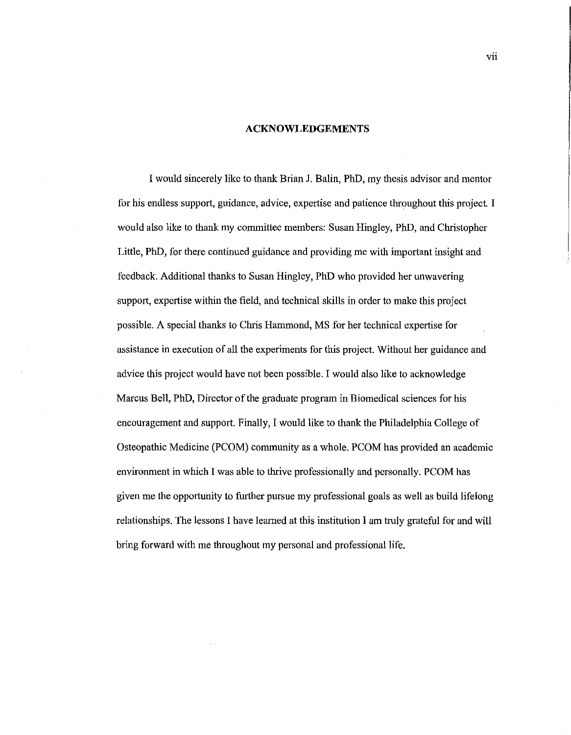#### **ACKNOWLEDGEMENTS**

I would sincerely like to thank Brian J. Balin, PhD, my thesis advisor and mentor for his endless support, guidance, advice, expertise and patience throughout this project. I would also like to thank my committee members: Susan Ringley, PhD, and Christopher Little, PhD, for there continued guidance and providing me with important insight and feedback. Additional thanks to Susan Ringley, PhD who provided her unwavering support, expertise within the field, and technical skills in order to make this project possible. A special thanks to Chris Hammond, MS for her technical expertise for assistance in execution of all the experiments for this project. Without her guidance and advice this project would have not been possible. I would also like to acknowledge Marcus Bell, PhD, Director of the graduate program in Biomedical sciences for his encouragement and support. Finally, I would like to thank the Philadelphia College of Osteopathic Medicine (PCOM) community as a whole. PCOM has provided an academic environment in which I was able to thrive professionally and personally. PCOM has given me the opportunity to further pursue my professional goals as well as build lifelong relationships. The lessons I have learned at this institution I am truly grateful for and will bring forward with me throughout my personal and professional life.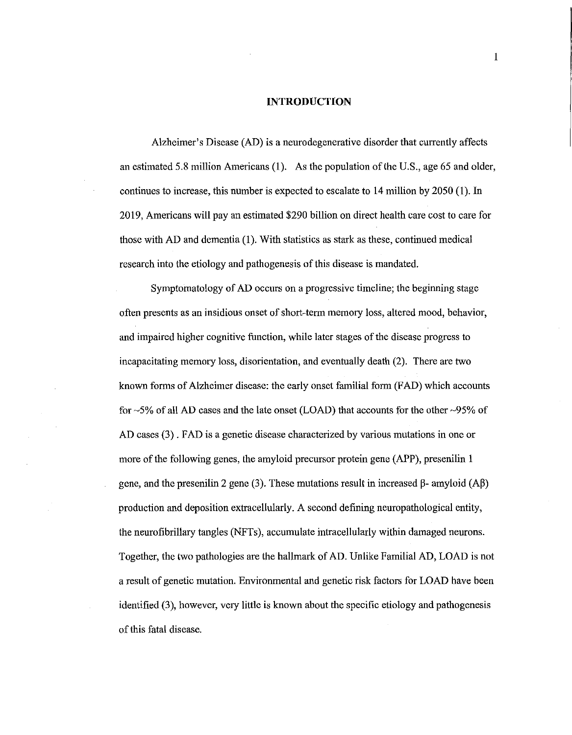#### **INTRODUCTION**

Alzheimer's Disease (AD) is a neurodegenerative disorder that currently affects an estimated 5.8 million Americans (1). As the population of the U.S., age 65 and older, continues to increase, this number is expected to escalate to 14 million by 2050 (1). In 2019, Americans will pay an estimated \$290 billion on direct health care cost to care for those with AD and dementia (1). With statistics as stark as these, continued medical research into the etiology and pathogenesis of this disease is mandated.

Symptomatology of AD occurs on a progressive timeline; the beginning stage often presents as an insidious onset of short-term memory loss, altered mood, behavior, and impaired higher cognitive function, while later stages of the disease progress to incapacitating memory loss, disorientation, and eventually death (2). There are two known forms of Alzheimer disease: the early onset familial form (FAD) which accounts for -5% of all AD cases and the late onset (LOAD) that accounts for the other -95% of AD cases (3) . FAD is a genetic disease characterized by various mutations in one or more of the following genes, the amyloid precursor protein gene (APP), presenilin 1 gene, and the presenilin 2 gene (3). These mutations result in increased  $\beta$ - amyloid (A $\beta$ ) production and deposition extracellularly. A second defining neuropathological entity, the neurofibrillary tangles (NFTs ), accumulate intracellularly within damaged neurons. Together, the two pathologies are the hallmark of AD. Unlike Familial AD, LOAD is not a result of genetic mutation. Environmental and genetic risk factors for LOAD have been identified (3), however, very little is known about the specific etiology and pathogenesis of this fatal disease.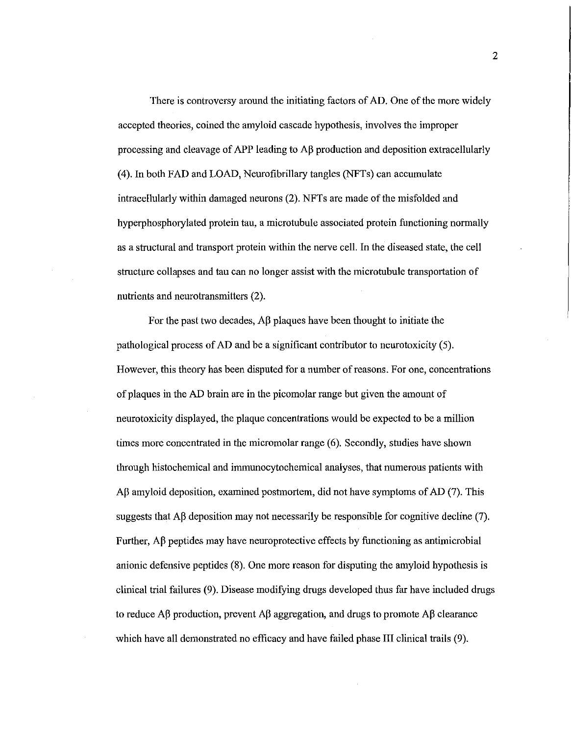There is controversy around the initiating factors of AD. One of the more widely accepted theories, coined the amyloid cascade hypothesis, involves the improper processing and cleavage of APP leading to  $\overrightarrow{AB}$  production and deposition extracellularly (4). In both FAD and LOAD, Neurofibrillary tangles (NFTs) can accumulate intracellularly within damaged neurons (2). NFTs are made of the misfolded and hyperphosphorylated protein tau, a microtubule associated protein functioning normally as a structural and transport protein within the nerve cell. In the diseased state, the cell structure collapses and tau can no longer assist with the microtubule transportation of nutrients and neurotransmitters (2).

For the past two decades,  $\mathbf{A}\beta$  plaques have been thought to initiate the pathological process of AD and be a significant contributor to neurotoxicity (5). However, this theory has been disputed for a number of reasons. For one, concentrations of plaques in the AD brain are in the picomolar range but given the amount of neurotoxicity displayed, the plaque concentrations would be expected to be a million times more concentrated in the micromolar range ( 6). Secondly, studies have shown through histochemical and immunocytochemical analyses, that numerous patients with  $\Delta\beta$  amyloid deposition, examined postmortem, did not have symptoms of  $\Delta D$  (7). This suggests that  $\overrightarrow{AB}$  deposition may not necessarily be responsible for cognitive decline (7). Further,  $\Delta\beta$  peptides may have neuroprotective effects by functioning as antimicrobial anionic defensive peptides (8). One more reason for disputing the amyloid hypothesis is clinical trial failures (9). Disease modifying drugs developed thus far have included drugs to reduce  $\Lambda\beta$  production, prevent  $\Lambda\beta$  aggregation, and drugs to promote  $\Lambda\beta$  clearance which have all demonstrated no efficacy and have failed phase III clinical trails (9).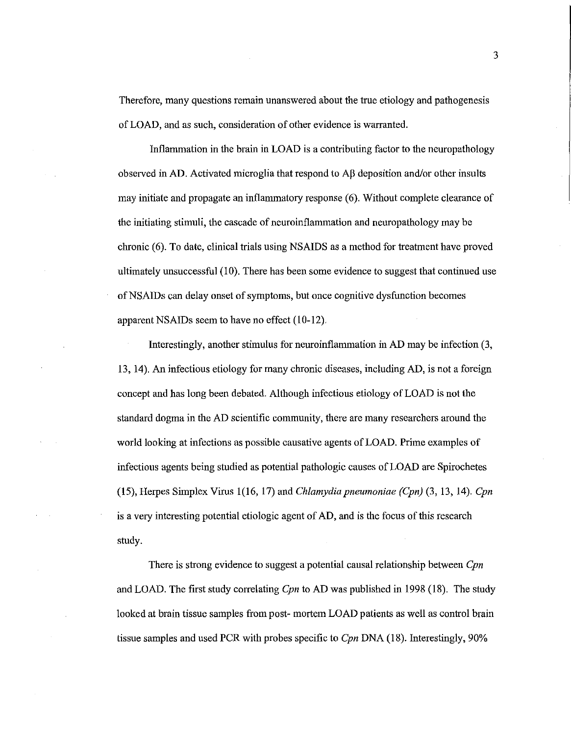Therefore, many questions remain unanswered about the true etiology and pathogenesis of LOAD, and as such, consideration of other evidence is warranted.

Inflammation in the brain in LOAD is a contributing factor to the neuropathology observed in AD. Activated microglia that respond to  $\overrightarrow{AB}$  deposition and/or other insults may initiate and propagate an inflanunatory response (6). Without complete clearance of the initiating stimuli, the cascade of neuroinflanunation and neuropathology may be chronic (6). To date, clinical trials using NSAIDS as a method for treatment have proved ultimately unsuccessful (10). There has been some evidence to suggest that continued use ofNSAIDs can delay onset of symptoms, but once cognitive dysfunction becomes apparent NSAIDs seem to have no effect (10-12).

Interestingly, another stimulus for neuroinflanunation in AD may be infection (3, 13, 14). An infectious etiology for many chronic diseases, including AD, is not a foreign concept and has long been debated. Although infectious etiology of LOAD is not the standard dogma in the AD scientific conununity, there are many researchers around the world looking at infections as possible causative agents of LOAD. Prime examples of infectious agents being studied as potential pathologic causes of LOAD are Spirochetes (15), Herpes Simplex Virus 1(16, 17) and *Chlamydia pneumoniae (Cpn)* (3, 13, 14). *Cpn*  is a very interesting potential etiologic agent of AD, and is the focus of this research study.

There is strong evidence to suggest a potential causal relationship between *Cpn*  and LOAD. The first study correlating *Cpn* to AD was published in 1998 (18). The study looked at brain tissue samples from post- mortem LOAD patients as well as control brain tissue samples and used PCR with probes specific to *Cpn* DNA ( 18). Interestingly, 90%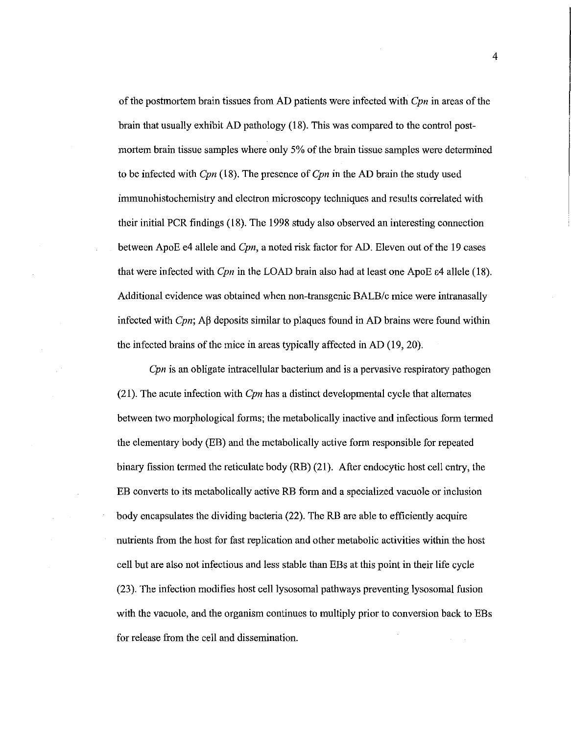of the postmortem brain tissues from AD patients were infected with *Cpn* in areas of the brain that usually exhibit AD pathology (18). This was compared to the control postmortem brain tissue samples where only 5% of the brain tissue samples were determined to be infected with *Cpn* (18). The presence of *Cpn* in the AD brain the study used immunohistochemistry and electron microscopy techniques and results correlated with their initial PCR findings (18). The 1998 study also observed an interesting connection between ApoE e4 allele and *Cpn,* a noted risk factor for AD. Eleven out of the 19 cases that were infected with *Cpn* in the LOAD brain also had at least one ApoE E4 allele (18). Additional evidence was obtained when non-transgenic BALB/c mice were intranasally infected with *Cpn*;  $\Delta\beta$  deposits similar to plaques found in  $\Delta D$  brains were found within tbe infected brains of the mice in areas typically affected in AD (19, 20}.

*Cpn* is an obligate intracellular bacterium and is a pervasive respiratory pathogen (21 ). The acute infection witb *Cpn* has a distinct developmental cycle that alternates between two morphological forms; the metabolically inactive and infectious form termed the elementary body (EB) and the metabolically active form responsible for repeated binary fission termed the reticulate body (RB) (21). After endocytic host cell entry, the EB converts to its metabolically active RB form and a specialized vacuole or inclusion body encapsulates the dividing bacteria (22). The RB are able to efficiently acquire nutrients from the host for fast replication and other metabolic activities within the host cell but are also not infectious and less stable than EBs at this point in their life cycle (23). The infection modifies host cell lysosomal pathways preventing lysosomal fusion with the vacuole, and the organism continues to multiply prior to conversion back to EBs for release from the cell and dissemination.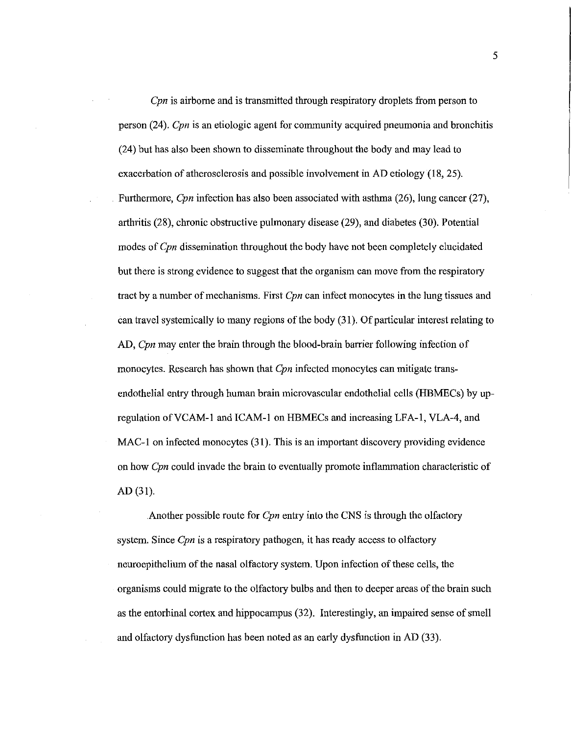*Cpn* is airborne and is transmitted through respiratory droplets from person to person (24). *Cpn* is an etiologic agent for community acquired pneumonia and bronchitis (24) but has also been shown to disseminate throughout the body and may lead to exacerbation of atherosclerosis and possible involvement in AD etiology (18, 25). Furthermore, *Cpn* infection has also been associated with asthma (26), lung cancer (27), arthritis (28), chronic obstructive pulmonary disease (29), and diabetes (30). Potential modes of *Cpn* dissemination throughout the body have not been completely elucidated but there is strong evidence to suggest that the organism can move from the respiratory tract by a number of mechanisms. First *Cpn* can infect monocytes in the lung tissues and can travel systemically to many regions of the body (31). Of particular interest relating to AD, *Cpn* may enter the brain through the blood-brain barrier following infection of monocytes. Research has shown that *Cpn* infected monocytes can mitigate transendothelial entry through human brain microvascular endothelial cells (HBMECs) by upregulation ofVCAM-1 and ICAM-1 on HBMECs and increasing LFA-1, VLA-4, and MAC-1 on infected monocytes (31). This is an important discovery providing evidence on how *Cpn* could invade the brain to eventually promote inflammation characteristic of AD (31).

Another possible route for *Cpn* entry into the CNS is through the olfactory system. Since *Cpn* is a respiratory pathogen, it has ready access to olfactory neuroepithelium of the nasal olfactory system. Upon infection of these cells, the organisms could migrate to the olfactory bulbs and then to deeper areas of the brain such as the entorhinal cortex and hippocampus (32). Interestingly, an impaired sense of smell and olfactory dysfunction has been noted as an early dysfunction in AD (33).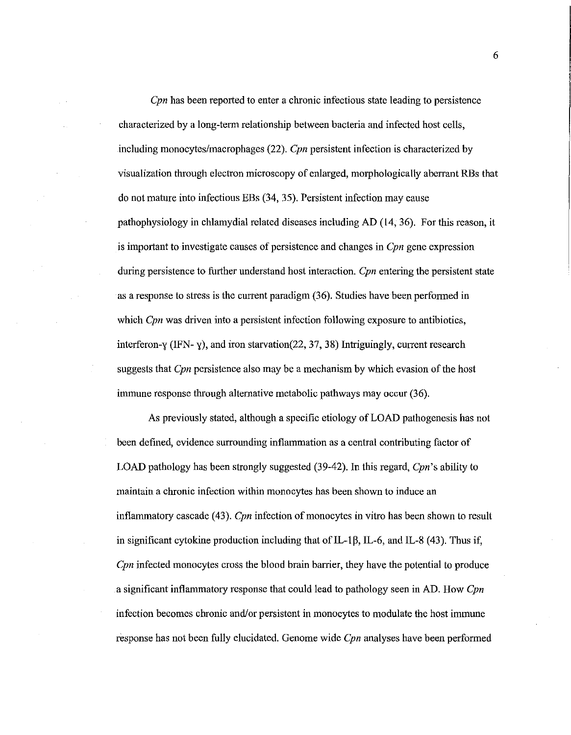*Cpn* has been reported to enter a chronic infectious state leading to persistence characterized by a long-term relationship between bacteria and infected host cells, including monocytes/macrophages (22). *Cpn* persistent infection is characterized by visualization through electron microscopy of enlarged, morphologically aberrant RBs that do not mature into infectious EBs (34, 35). Persistent infection may cause pathophysiology in chlamydia! related diseases including AD (14, 36). For this reason, it is important to investigate causes of persistence and changes in *Cpn* gene expression during persistence to further understand host interaction. *Cpn* entering the persistent state as a response to stress is the current paradigm (36). Studies have been performed in which *Cpn* was driven into a persistent infection following exposure to antibiotics, interferon-y (IFN-y), and iron starvation(22, 37, 38) Intriguingly, current research suggests that *Cpn* persistence also may be a mechanism by which evasion of the host immune response through alternative metabolic pathways may occur (36).

As previously stated, although a specific etiology of LOAD pathogenesis has not been defined, evidence surrounding inflammation as a central contributing factor of LOAD pathology has been strongly suggested (39-42). In this regard, *Cpn's* ability to maintain a chronic infection within monocytes has been shown to induce an inflammatory cascade (43). *Cpn* infection of monocytes in vitro has been shown to result in significant cytokine production including that of IL-1 $\beta$ , IL-6, and IL-8 (43). Thus if, *Cpn* infected monocytes cross the blood brain barrier, they have the potential to produce a significant inflammatory response that could lead to pathology seen in AD. How *Cpn*  infection becomes chronic and/or persistent in monocytes to modulate the host immune response has not been fully elucidated. Genome wide *Cpn* analyses have been performed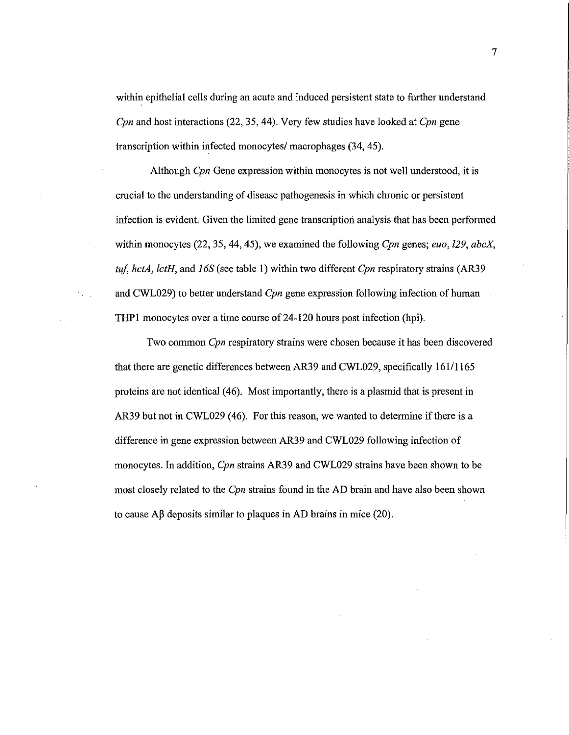within epithelial cells during an acute and induced persistent state to further understand *Cpn* and host interactions (22, 35, 44). Very few studies have looked at *Cpn* gene transcription within infected monocytes/ macrophages (34, 45).

Although *Cpn* Gene expression within monocytes is not well understood, it is crucial to the understanding of disease pathogenesis in which chronic or persistent infection is evident. Given the limited gene transcription analysis that has been performed within monocytes (22, 35, 44, 45), we examined the following *Cpn* genes; *euo,* 129, *abcX, ttif, hctA, lctH,* and *J 6S* (see table 1) within two different *Cpn* respiratory strains (AR39 and CWL029) to better understand *Cpn* gene expression following infection of human THPl monocytes over a time course of24-120 hours post infection (hpi).

Two common *Cpn* respiratory strains were chosen because it has been discovered that there are genetic differences between AR39 and CWL029, specifically 161/1165 proteins are not identical ( 46). Most importantly, there is a plasmid that is present in AR39 but not in CWL029 (46). For this reason, we wanted to determine if there is a difference in gene expression between AR39 and CWL029 following infection of monocytes. In addition, *Cpn* strains AR39 and CWL029 strains have been shown to be most closely related to the *Cpn* strains found in the AD brain and have also been shown to cause  $\mathbf{A}\beta$  deposits similar to plaques in AD brains in mice (20).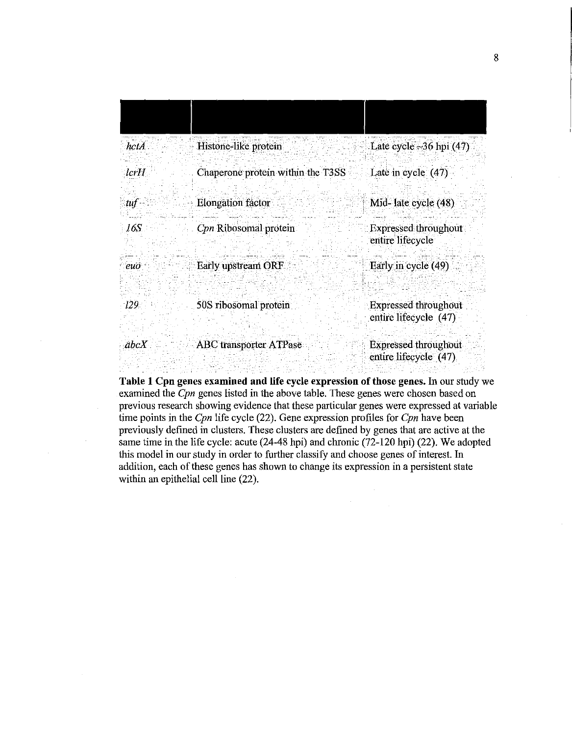| hctA             | Histone-like protein              | Late cycle $\sim$ 36 hpi (47)                        |
|------------------|-----------------------------------|------------------------------------------------------|
| lcrH             | Chaperone protein within the T3SS | Late in cycle $(47)$                                 |
| tuf              | <b>Elongation</b> factor          | Mid- late cycle (48)                                 |
| 16S              | Con Ribosomal protein             | <b>Expressed throughout</b><br>entire lifecycle      |
| $eu\overline{o}$ | Early upstream ORF                | Early in cycle (49)                                  |
| 129.             | 50S ribosomal protein             | <b>Expressed throughout</b><br>entire lifecycle (47) |
| abcX             | <b>ABC</b> transporter ATPase     | <b>Expressed throughout</b><br>entire lifecycle (47) |

Table 1 Cpn genes examined and life cycle expression of those genes. In our study we examined the *Cpn* genes listed in the above table. These genes were chosen based on previous research showing evidence that these particular genes were expressed at variable time points in the *Cpn* life cycle (22). Gene expression profiles for *Cpn* have been previously defined in clusters. These clusters are defined by genes that are active at the same time in the life cycle: acute (24-48 hpi) and chronic (72-120 hpi) (22). We adopted this model in our study in order to further classify and choose genes of interest. In addition, each of these genes has shown to change its expression in a persistent state within an epithelial cell line (22).

 $\mathcal{A}^{\pm}$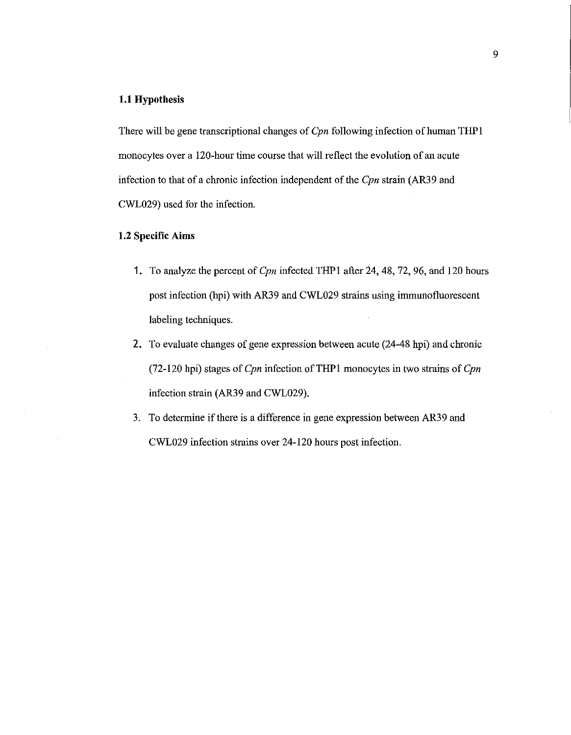#### **1.1 Hypothesis**

There will be gene transcriptional changes of Cpn following infection of human THP1 monocytes over a 120-hour time course that will reflect the evolution of an acute infection to that of a chronic infection independent of the Cpn strain (AR39 and CWL029) used for the infection.

#### **1.2 Specific Aims**

- 1. To analyze the percent of Cpn infected THPl after 24, 48, 72, 96, and 120 hours post infection (hpi) with AR39 and CWL029 strains using immunofluorescent labeling techniques.
- 2. To evaluate changes of gene expression between acute (24-48 hpi) and chronic (72-120 hpi) stages of  $Cpn$  infection of THP1 monocytes in two strains of  $Cpn$ infection strain (AR39 and CWL029).
- 3. To determine if there is a difference in gene expression between AR39 and CWL029 infection strains over 24-120 hours post infection.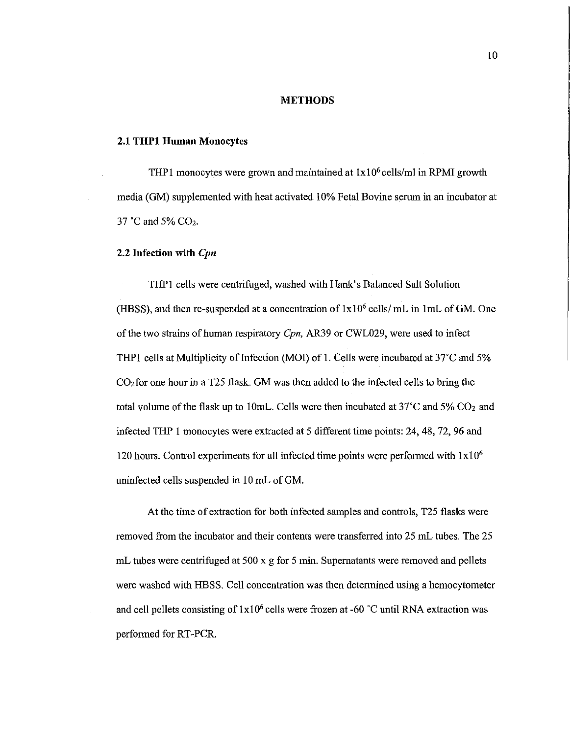#### **METHODS**

#### **2.1 THPl Human** Monocytes

THP1 monocytes were grown and maintained at  $1x10<sup>6</sup>$  cells/ml in RPMI growth media (GM) supplemented with heat activated 10% Fetal Bovine serum in an incubator at 37 °C and 5% CO<sub>2</sub>.

#### 2.2 **Infection with** *Cpn*

THPl cells were centrifuged, washed with Hank's Balanced Salt Solution (HBSS), and then re-suspended at a concentration of  $1x10^6$  cells/ mL in 1mL of GM. One of the two strains of human respiratory *Cpn,* AR39 or CWL029, were used to infect THP1 cells at Multiplicity of Infection (MOI) of 1. Cells were incubated at  $37^{\circ}$ C and  $5\%$ C02 for one hour in a T25 flask. GM was then added to the infected cells to bring the total volume of the flask up to 10mL. Cells were then incubated at  $37^{\circ}$ C and  $5\%$  CO<sub>2</sub> and infected THP 1 monocytes were extracted at 5 different time points: 24, 48, 72, 96 and 120 hours. Control experiments for all infected time points were performed with  $1x10<sup>6</sup>$ uninfected cells suspended in 10 mL of GM.

At the time of extraction for both infected samples and controls, T25 flasks were removed from the incubator and their contents were transferred into 25 mL tubes. The 25 mL tubes were centrifuged at 500 x g for 5 min. Supernatants were removed and pellets were washed with HBSS. Cell concentration was then determined using a hemocytometer and cell pellets consisting of  $1x10^6$  cells were frozen at -60 °C until RNA extraction was performed for RT-PCR.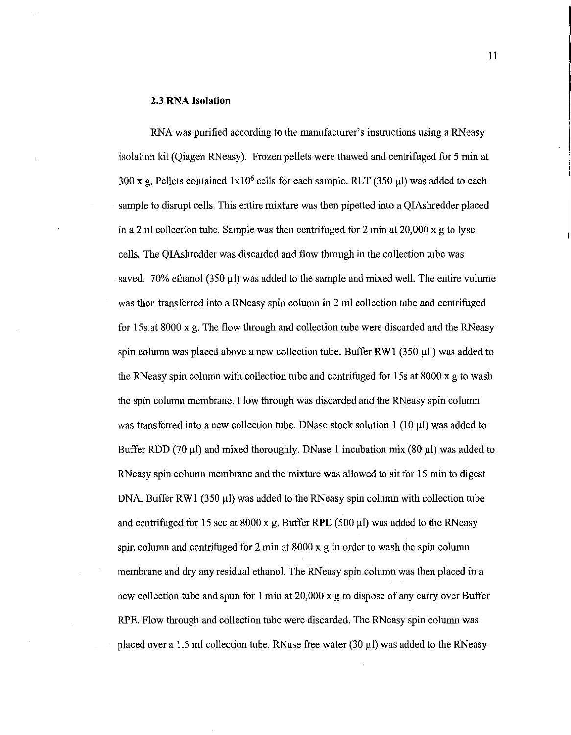#### 2.3 RNA **Isolation**

RNA was purified according to the manufacturer's instructions using a RNeasy isolation kit (Qiagen RNeasy). Frozen pellets were thawed and centrifuged for 5 min at 300 x g. Pellets contained  $1x10^6$  cells for each sample. RLT (350  $\mu$ l) was added to each sample to disrupt cells. This entire mixture was then pipetted into a QIAshredder placed in a 2ml collection tube. Sample was then centrifuged for 2 min at  $20,000 \times g$  to lyse cells. The QIAshredder was discarded and flow through in the collection tube was saved. 70% ethanol (350 µl) was added to the sample and mixed well. The entire volume was then transferred into a RNeasy spin column in 2 ml collection tube and centrifuged for 15s at 8000 x g. The flow through and collection tube were discarded and the RNeasy spin column was placed above a new collection tube. Buffer RWI (350 µl) was added to the RNeasy spin column with collection tube and centrifuged for 15s at 8000 x g to wash the spin column membrane. Flow through was discarded and the RNeasy spin column was transferred into a new collection tube. DNase stock solution 1 (10  $\mu$ l) was added to Buffer RDD (70  $\mu$ l) and mixed thoroughly. DNase 1 incubation mix (80  $\mu$ l) was added to RNeasy spin column membrane and the mixture was allowed to sit for 15 min to digest DNA. Buffer RW1 (350  $\mu$ l) was added to the RNeasy spin column with collection tube and centrifuged for 15 sec at 8000 x g. Buffer RPE (500  $\mu$ I) was added to the RNeasy spin column and centrifuged for 2 min at  $8000 \times g$  in order to wash the spin column membrane and dry any residual ethanol. The RN easy spin column was then placed in a new collection tube and spun for 1 min at 20,000 x g to dispose of any carry over Buffer RPE. Flow through and collection tube were discarded. The RNeasy spin column was placed over a 1.5 ml collection tube. RNase free water (30  $\mu$ I) was added to the RNeasy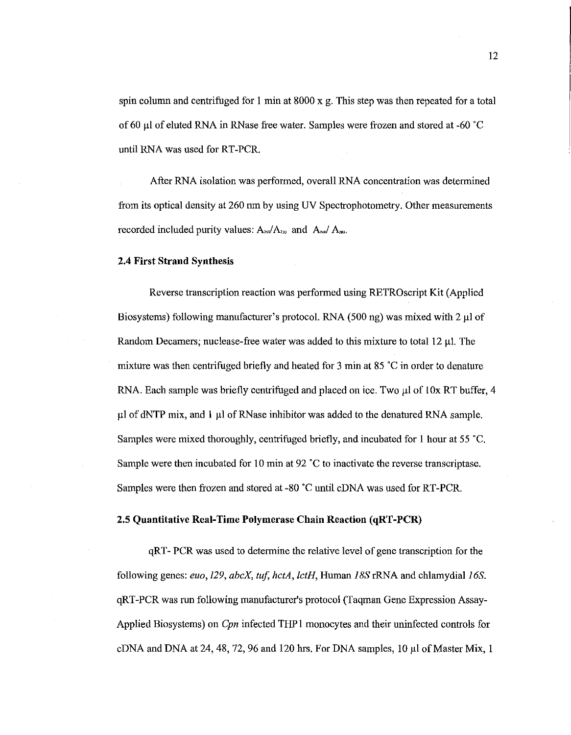spin column and centrifuged for I min at 8000 x g. This step was then repeated for a total of 60 µl of eluted RNA in RNase free water. Samples were frozen and stored at -60 "C until RNA was used for RT-PCR.

After RNA isolation was performed, overall RNA concentration was determined from its optical density at 260 nm by using UV Spectrophotometry. Other measurements recorded included purity values:  $A_{200}/A_{210}$  and  $A_{200}/A_{280}$ .

#### **2.4 First Strand Synthesis**

Reverse transcription reaction was performed using RETROscript Kit (Applied Biosystems) following manufacturer's protocol. RNA (500 ng) was mixed with 2 µl of Random Decamers; nuclease-free water was added to this mixture to total  $12 \mu$ . The mixture was then centrifuged briefly and heated for 3 min at 85 "C in order to denature RNA. Each sample was briefly centrifuged and placed on ice. Two  $\mu$ l of 10x RT buffer, 4 µl of dNTP mix, and **1** µI ofRNase inhibitor was added to the denatured RNA sample. Samples were mixed thoroughly, centrifuged briefly, and incubated for 1 hour at 55 "C. Sample were then incubated for 10 min at 92 "C to inactivate the reverse transcriptase. Samples were then frozen and stored at -80 "C until cDNA was used for RT-PCR.

#### 2.5 **Quantitative Real-Time Polymerase Chain Reaction (qRT-PCR)**

qRT- PCR was used to determine the relative level of gene transcription for the following genes: *euo*, *129*, *abcX*, *tuf, hctA, lctH*, Human *18S* rRNA and chlamydial *16S*. qRT-PCR was run following manufacturer's protocol (Taqman Gene Expression Assay-Applied Biosystems) on *Cpn* infected THP 1 monocytes and their uninfected controls for cDNA and DNA at 24, 48, 72, 96 and 120 hrs. For DNA samples, 10 µI of Master Mix, I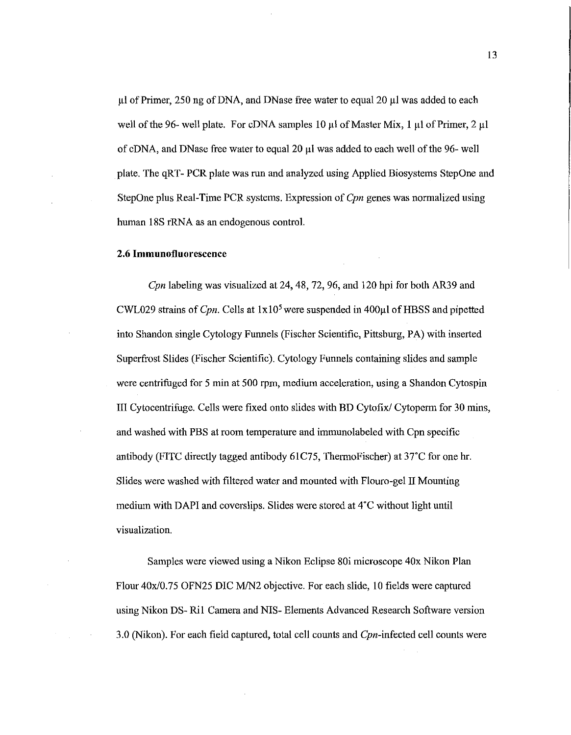µl of Primer, 250 ng of DNA, and DNase free water to equal 20 µl was added to each well of the 96- well plate. For cDNA samples 10  $\mu$ l of Master Mix, 1  $\mu$ l of Primer, 2  $\mu$ l of cDNA, and DNase free water to equal 20 µl was added to each well of the 96- well plate. The qRT- PCR plate was run and analyzed using Applied Biosystems StepOne and StepOne plus Real-Time PCR systems. Expression of *Cpn* genes was normalized using human 18S rRNA as an endogenous control.

#### 2.6 **Immunofluoresceuce**

*Cpn* labeling was visualized at 24, 48, 72, 96, and 120 hpi for both AR39 and CWL029 strains of *Cpn.* Cells at lxl05 were suspended in 400µ1 ofHBSS and pipetted into Shandon single Cytology Funnels (Fischer Scientific, Pittsburg, PA) with inserted Superfrost Slides (Fischer Scientific). Cytology Funnels containing slides and sample were centrifuged for 5 min at 500 rpm, medium acceleration, using a Shandon Cytospin III Cytocentrifuge. Cells were fixed onto slides with BD Cytofix/ Cytoperm for 30 mins, and washed with PBS at room temperature and immunolabeled with Cpn specific antibody (FITC directly tagged antibody 61C75, ThermoFischer) at 37°C for one hr. Slides were washed with filtered water and mounted with Flouro-gel II Mounting medium with DAPI and coverslips. Slides were stored at 4°C without light until visualization.

Samples were viewed using a Nikon Eclipse 80i microscope 40x Nikon Plan Flour 40x/0.75 OFN25 DIC M/N2 objective. For each slide, 10 fields were captured using Nikon DS- Ri1 Camera and NIS- Elements Advanced Research Software version 3.0 (Nikon). For each field captured, total cell counts and Cpn-infected cell counts were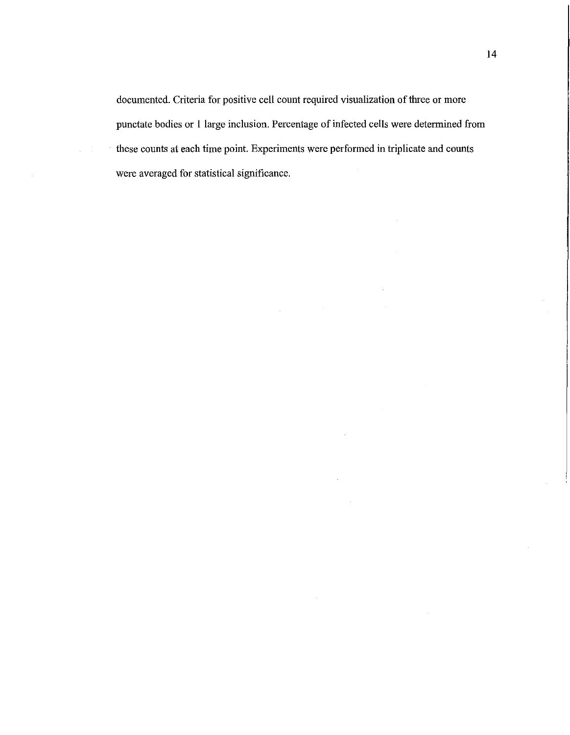documented. Criteria for positive cell count required visualization of three or more punctate bodies or 1 large inclusion. Percentage of infected cells were determined from these counts at each time point. Experiments were performed in triplicate and counts were averaged for statistical significance.

 $\label{eq:2.1} \frac{1}{2} \int_{\mathbb{R}^3} \left| \frac{d\mu}{\mu} \right|^2 \, d\mu = \frac{1}{2} \int_{\mathbb{R}^3} \left| \frac{d\mu}{\mu} \right|^2 \, d\mu = \frac{1}{2} \int_{\mathbb{R}^3} \left| \frac{d\mu}{\mu} \right|^2 \, d\mu = \frac{1}{2} \int_{\mathbb{R}^3} \left| \frac{d\mu}{\mu} \right|^2 \, d\mu = \frac{1}{2} \int_{\mathbb{R}^3} \left| \frac{d\mu}{\mu} \right|^2 \, d\mu = \$ 

 $\lambda$ 

 $\sim$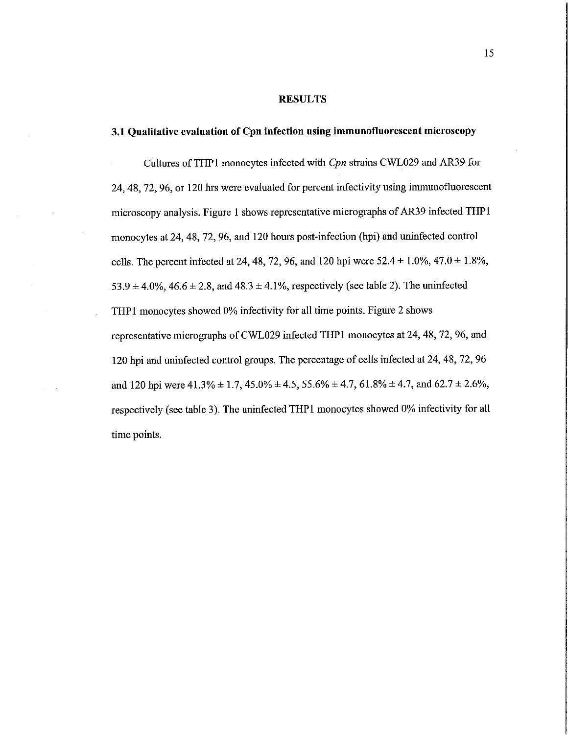#### **RESULTS**

#### **3.1 Qualitative evaluation of Cpn infection using immunofluorescent microscopy**

Cultures ofTHPl monocytes infected with *Cpn* strains CWL029 andAR39 for 24, 48, 72, 96, or 120 hrs were evaluated for percent infectivity using immunofluorescent microscopy analysis. Figure I shows representative micrographs of AR39 infected THPl monocytes at 24, 48, 72, 96, and 120 hours post-infection (hpi) and uninfected control cells. The percent infected at 24, 48, 72, 96, and 120 hpi were  $52.4 \pm 1.0\%$ ,  $47.0 \pm 1.8\%$ ,  $53.9 \pm 4.0\%$ ,  $46.6 \pm 2.8$ , and  $48.3 \pm 4.1\%$ , respectively (see table 2). The uninfected THP1 monocytes showed 0% infectivity for all time points. Figure 2 shows representative micrographs ofCWL029 infected THPl monocytes at 24, 48, 72, 96, and 120 hpi and uninfected control groups. The percentage of cells infected at 24, 48, 72, 96 and 120 hpi were  $41.3\% \pm 1.7$ ,  $45.0\% \pm 4.5$ ,  $55.6\% \pm 4.7$ ,  $61.8\% \pm 4.7$ , and  $62.7 \pm 2.6\%$ , respectively (see table 3). The uninfected THPl monocytes showed 0% infectivity for all time points.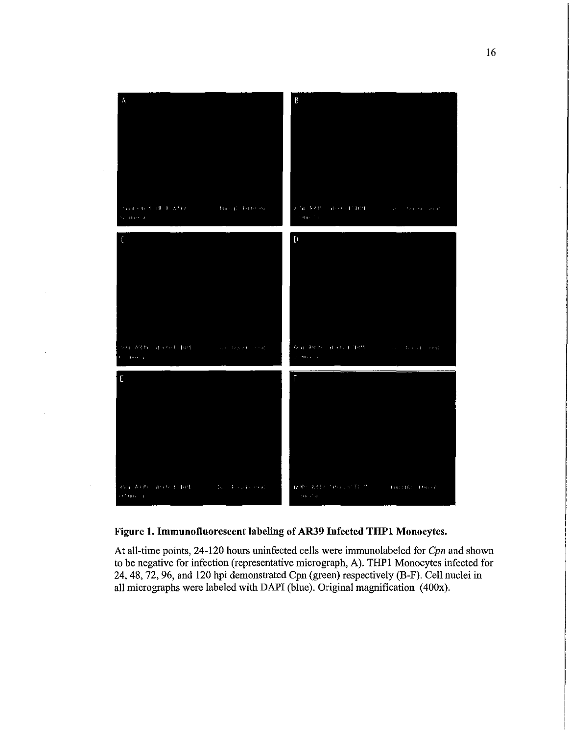

 $\cdot$ 

 $\cdot$ 

 $\alpha$ 

### **Figure 1. Immuuofluorescent labeling of AR39 Infected THPl Monocytes.**

At all-time points, 24-120 hours uninfected cells were immunolabeled for *Cpn* and shown to be negative for infection (representative micrograph, A). THP 1 Monocytes infected for 24, 48, 72, 96, and 120 hpi demonstrated Cpn (green) respectively (B-F). Cell nuclei in all micrographs were labeled with DAPI (blue). Original magnification (400x).

 $\ddot{\phantom{0}}$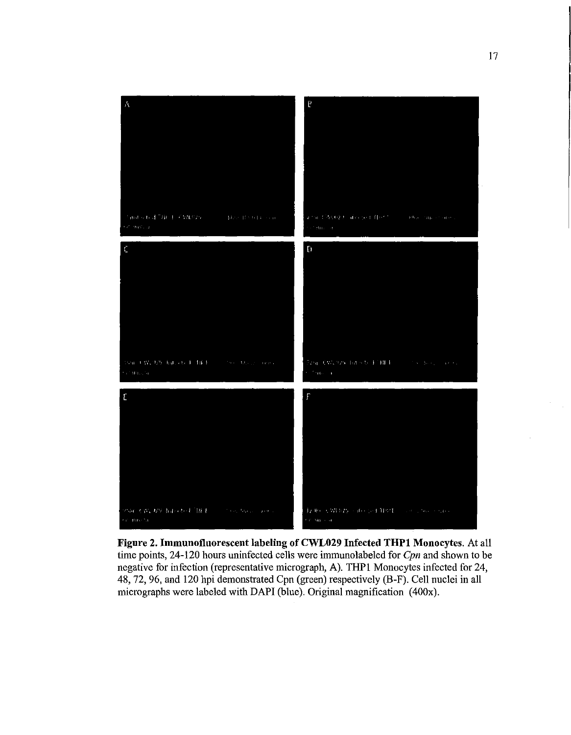

**Figure 2. Immuuofluorescent labeling of CWL029 Infected THPl Monocytes.** At all time points, 24-120 hours uninfected cells were immunolabeled for *Cpn* and shown to be negative for infection (representative micrograph, A). THPl Monocytes infected for 24, 48, 72, 96, and 120 hpi demonstrated Cpn (green) respectively (B-F). Cell nuclei in all micrographs were labeled with DAPI (blue). Original magnification (400x).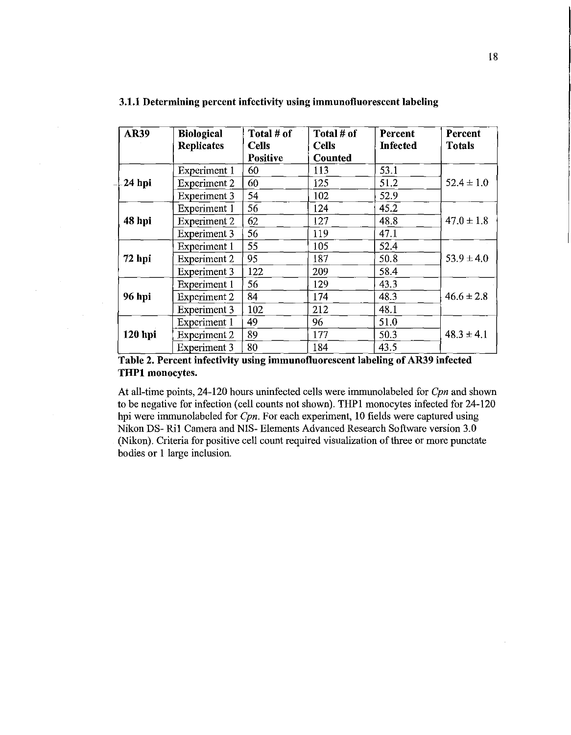| <b>AR39</b> | <b>Biological</b>   | Total # of   | Total # of   | Percent  | Percent        |
|-------------|---------------------|--------------|--------------|----------|----------------|
|             | <b>Replicates</b>   | <b>Cells</b> | <b>Cells</b> | Infected | Totals         |
|             |                     | Positive     | Counted      |          |                |
|             | Experiment 1        | 60           | 113          | 53.1     |                |
| -24 hpi     | <b>Experiment 2</b> | 60           | 125          | 51.2     | $52.4 \pm 1.0$ |
|             | <b>Experiment 3</b> | 54           | 102          | 52.9     |                |
|             | Experiment 1        | 56           | 124          | 45.2     |                |
| 48 hpi      | <b>Experiment 2</b> | 62           | 127          | 48.8     | $47.0 \pm 1.8$ |
|             | Experiment 3        | 56           | 119          | 47.1     |                |
|             | Experiment 1        | 55           | 105          | 52.4     |                |
| 72 hpi      | <b>Experiment 2</b> | 95           | 187          | 50.8     | $53.9 \pm 4.0$ |
|             | Experiment 3        | 122          | 209          | 58.4     |                |
|             | Experiment 1        | 56           | 129          | 43.3     |                |
| 96 hpi      | <b>Experiment 2</b> | 84           | 174          | 48.3     | $46.6 \pm 2.8$ |
|             | <b>Experiment 3</b> | 102          | 212          | 48.1     |                |
| 120 hpi     | Experiment 1        | 49           | 96           | 51.0     |                |
|             | <b>Experiment 2</b> | 89           | 177          | 50.3     | $48.3 \pm 4.1$ |
|             | <b>Experiment 3</b> | 80           | 184          | 43.5     |                |

#### **3.1.1 Determining percent infectivity using immunofluorescent labeling**

Table 2. Percent infectivity using immunofluorescent labeling of AR39 infected **THPl monocytes.** 

 $\bar{\mathcal{A}}$ 

At all-time points, 24-120 hours uninfected cells were immnnolabeled for *Cpn* and shown to be negative for infection (cell counts not shown). THPl monocytes infected for 24-120 hpi were immunolabeled for *Cpn.* For each experiment, 10 fields were captured using Nikon DS- Ril Camera and NIS- Elements Advanced Research Software version 3.0 (Nikon). Criteria for positive cell count required visualization of three or more punctate bodies or 1 large inclusion.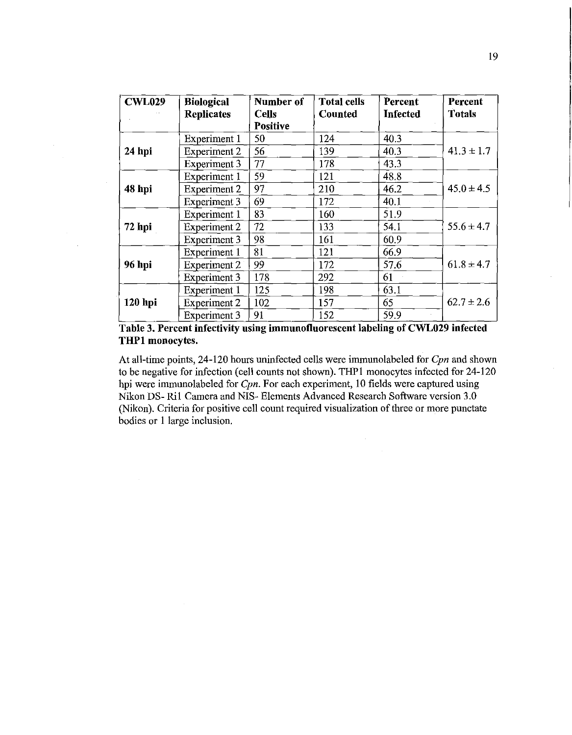| <b>CWL029</b> | <b>Biological</b>   | Number of       | <b>Total cells</b> | Percent         | Percent        |
|---------------|---------------------|-----------------|--------------------|-----------------|----------------|
|               | <b>Replicates</b>   | <b>Cells</b>    | Counted            | <b>Infected</b> | <b>Totals</b>  |
|               |                     | <b>Positive</b> |                    |                 |                |
|               | Experiment 1        | 50              | 124                | 40.3            |                |
| 24 hpi        | <b>Experiment 2</b> | 56              | 139                | 40.3            | $41.3 \pm 1.7$ |
|               | <b>Experiment 3</b> | 77              | 178                | 43.3            |                |
|               | Experiment 1        | 59              | 121                | 48.8            |                |
| 48 hpi        | Experiment 2        | 97              | 210                | 46.2            | $45.0 \pm 4.5$ |
|               | Experiment 3        | 69              | 172                | 40.1            |                |
|               | Experiment 1        | 83              | 160                | 51.9            |                |
| 72 hpi        | <b>Experiment 2</b> | 72              | 133                | 54.1            | $55.6 \pm 4.7$ |
|               | <b>Experiment 3</b> | 98              | 161                | 60.9            |                |
|               | Experiment 1        | 81              | 121                | 66.9            |                |
| <b>96 hpi</b> | <b>Experiment 2</b> | 99              | 172                | 57.6            | $61.8 \pm 4.7$ |
|               | <b>Experiment 3</b> | 178             | 292                | 61              |                |
|               | Experiment 1        | 125             | 198                | 63.1            |                |
| 120 hpi       | <b>Experiment 2</b> | 102             | 157                | 65              | $62.7 \pm 2.6$ |
|               | Experiment 3        | 91              | 152                | 59.9            |                |

**Table 3. Percent infectivity using immunofluorescent labeling of CWL029 infected THPl monocytes.** 

At all-time points, 24-120 hours uninfected cells were immunolabeled for *Cpn* and shown to be negative for infection (cell counts not shown). THPl monocytes infected for 24-120 hpi were immunolabeled for *Cpn.* For each experiment, 10 fields were captured using Nikon DS- Ril Camera and NIS- Elements Advanced Research Software version 3.0 (Nikon). Criteria for positive cell count required visualization of three or more punctate bodies or 1 large inclusion.

t,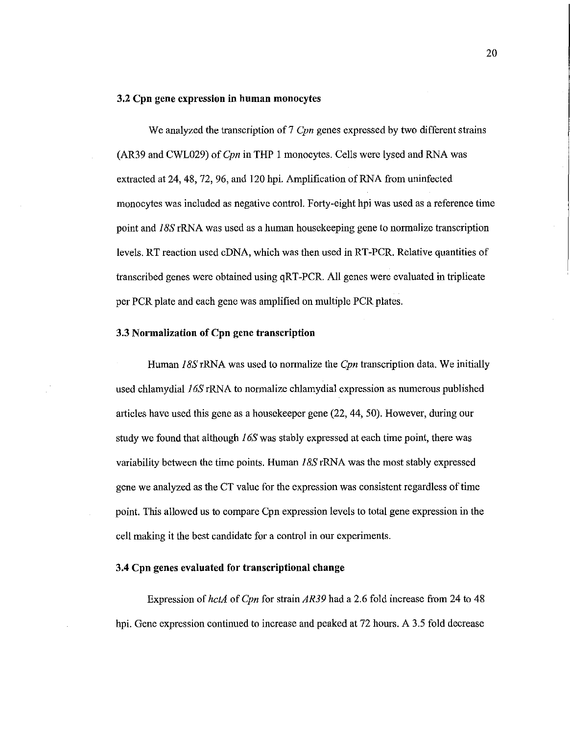#### **3.2 Cpn gene expression in human monocytes**

We analyzed the transcription of 7 *Cpn* genes expressed by two different strains (AR39 and CWL029) of *Cpn* in THP 1 monocytes. Cells were lysed and RNA was extracted at 24, 48, 72, 96, and 120 bpi. Amplification of RNA from uninfected monocytes was included as negative control. Forty-eight bpi was used as a reference time point and *JBS* rRNA was used as a human housekeeping gene to normalize transcription levels. RT reaction used cDNA, which was then used in RT-PCR. Relative quantities of transcribed genes were obtained using qRT-PCR. All genes were evaluated in triplicate per PCR plate and each gene was amplified on multiple PCR plates.

#### **3.3 Normalization of Cpn gene transcription**

Human *JBS* rRNA was used to normalize the *Cpn* transcription data. We initially used chlamydia!  $16S$  rRNA to normalize chlamydia! expression as numerous published articles have used this gene as a housekeeper gene (22, 44, 50). However, during our study we found that although *J* 6S was stably expressed at each time point, there was variability between the time points. Human *JBS* rRNA was the most stably expressed gene we analyzed as the CT value for the expression was consistent regardless of time point. This allowed us to compare Cpn expression levels to total gene expression iu the cell making it the best candidate for a control in our experiments.

#### **3.4 Cpn genes evaluated for transcriptional change**

Expression of *hctA* of *Cpn* for strain *AR39* had a 2.6 fold increase from 24 to 48 bpi. Gene expression continued to increase and peaked at 72 hours. A 3.5 fold decrease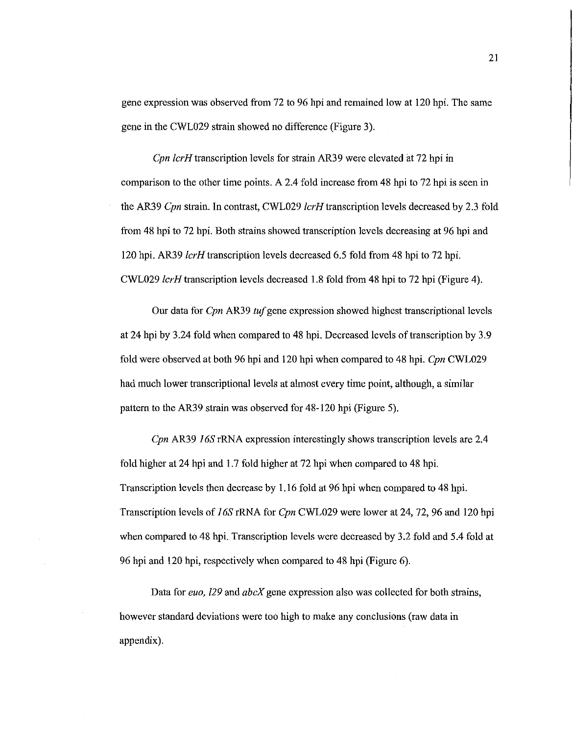gene expression was observed from 72 to 96 hpi and remained low at 120 hpi. The same gene in the CWL029 strain showed no difference (Figure 3).

*Cpn lcrH* transcription levels for strain AR39 were elevated at 72 hpi in comparison to the other time points. A 2.4 fold increase from 48 hpi to 72 hpi is seen in the AR39 *Cpn* strain. In contrast, CWL029 *lcrH* transcription levels decreased by 2.3 fold from 48 hpi to 72 hpi. Both strains showed transcription levels decreasing at 96 hpi and 120 hpi. AR39 *lcrH* transcription levels decreased 6.5 fold from 48 hpi to 72 hpi. CWL029 *lcrH* transcription levels decreased 1.8 fold from 48 hpi to 72 hpi (Figure 4).

Our data for *Cpn* AR39 *tuf* gene expression showed highest transcriptional levels at 24 hpi by 3 .24 fold when compared to 48 hpi. Decreased levels of transcription by 3 .9 fold were observed at both 96 hpi and 120 hpi when compared to 48 hpi. *Cpn* CWL029 had much lower transcriptional levels at almost every time point, although, a similar pattern to the AR39 strain was observed for 48-120 hpi (Figure 5).

*Cpn* AR39 *I 6S* rRNA expression interestingly shows transcription levels are 2.4 fold higher at 24 hpi and 1.7 fold higher at 72 hpi when compared to 48 hpi. Transcription levels then decrease by 1.16 fold at 96 hpi when compared to 48 hpi. Transcription levels of *I 6S* rRNA for *Cpn* CWL029 were lower at 24, 72, 96 and 120 hpi when compared to 48 hpi. Transcription levels were decreased by 3.2 fold and 5.4 fold at 96 hpi and 120 hpi, respectively when compared to 48 hpi (Figure 6).

Data for *euo, /29* and *abcX* gene expression also was collected for both strains, however standard deviations were too high to make any conclusions (raw data in appendix).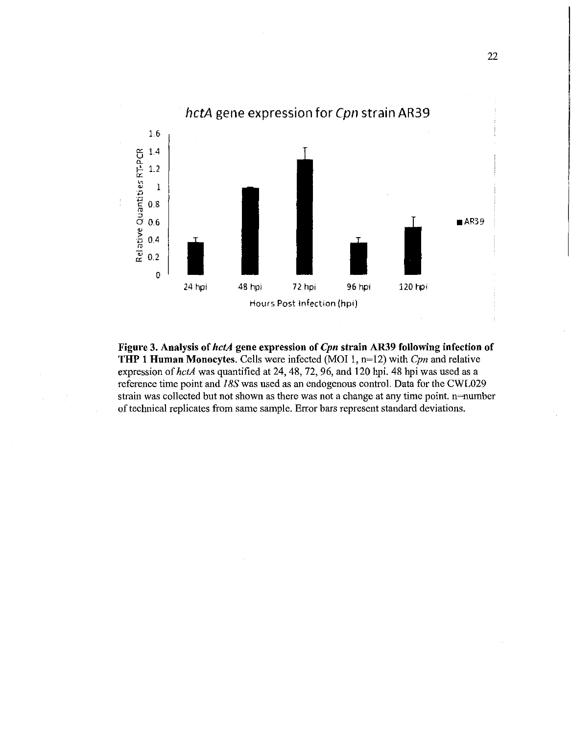

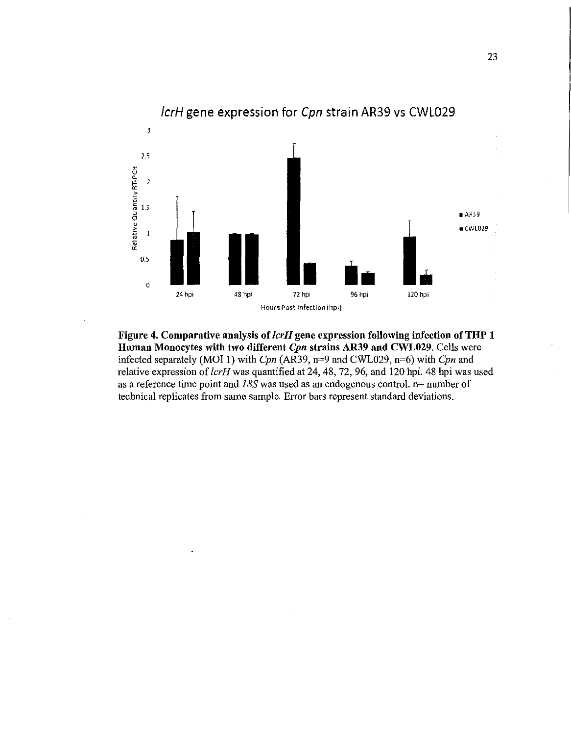

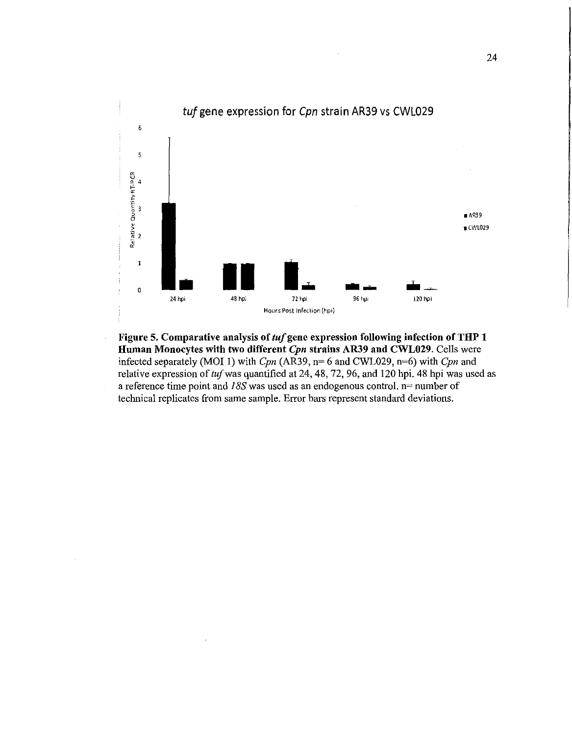

Figure 5. Comparative analysis of *tuf* gene expression following infection of THP 1 Human Monocytes with two different Cpn strains AR39 and CWL029. Cells were infected separately (MOI 1) with *Cpn* (AR39, n= 6 and CWL029, n=6) with *Cpn* and relative expression of *tuf* was quantified at 24, 48, 72, 96, and 120 hpi. 48 hpi was used as a reference time point and *I SS* was used as an endogenous control. n= number of technical replicates from same sample. Error bars represent standard deviations.

 $\ddot{\phantom{a}}$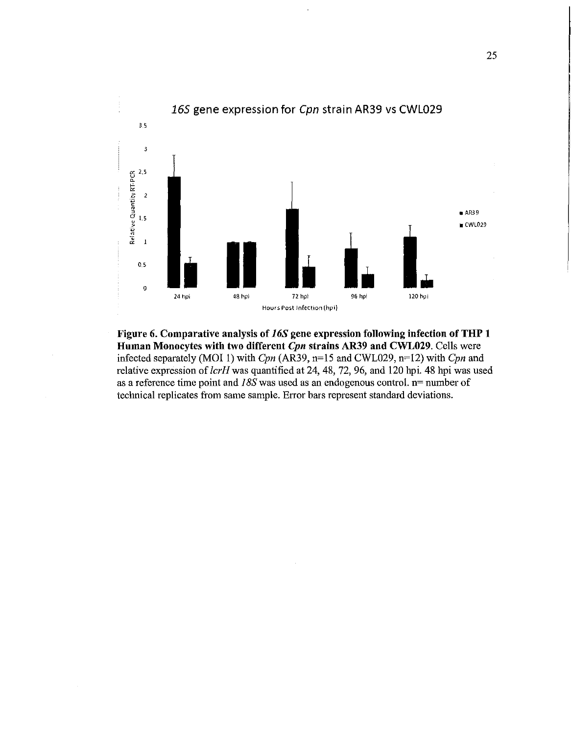

Figure 6. Comparative analysis of *16S* gene expression following infection of THP 1 Human Monocytes with two different *Cpn* strains AR39 and CWL029. Cells were infected separately (MOI 1) with *Cpn* (AR39, n=15 and CWL029, n=12) with *Cpn* and relative expression of *lcrH* was quantified at 24, 48, 72, 96, and 120 hpi. 48 hpi was used as a reference time point and *1 BS* was used as an endogenous control. n= number of technical replicates from same sample. Error bars represent standard deviations.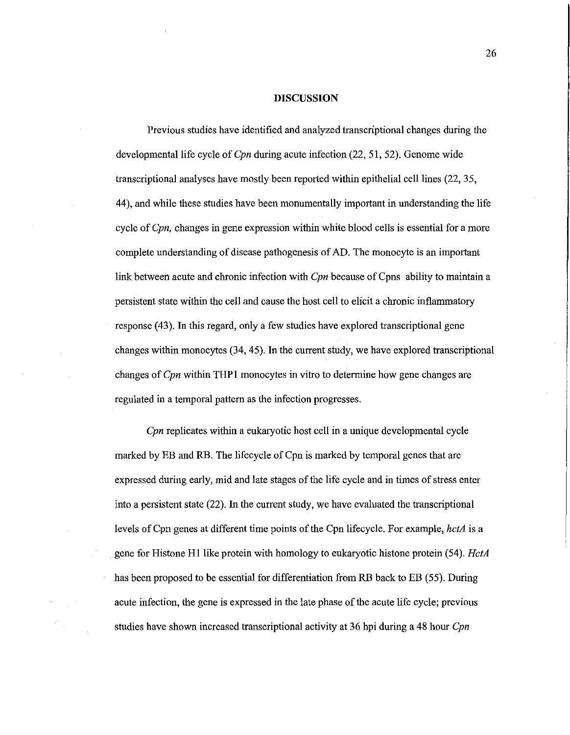#### **DISCUSSION**

Previous studies have identified and analyzed transcriptional changes during the developmental life cycle of *Cpn* during acute infection (22, 51, 52). Genome wide transcriptional analyses have mostly been reported within epithelial cell lines (22, 35, 44 ), and while these studies have been monumentally important in understanding the life cycle of *Cpn,* changes in gene expression within white blood cells is essential for a more complete understanding of disease pathogenesis of AD. The monocyte is an important link between acute and chronic infection with *Cpn* because of Cpns ability to maintain a persistent state within the cell and cause the host cell to elicit a chronic inflammatory response (43). In this regard, only a few studies have explored transcriptional gene changes within monocytes (34, 45). In the current study, we have explored transcriptional changes of *Cpn* within THP 1 monocytes in vitro to determine how gene changes are regulated in a temporal pattern as the infection progresses.

*Cpn* replicates within a eukaryotic host cell in a unique developmental cycle marked by EB and RB. The lifecycle of Cpn is marked by temporal genes that are expressed during early, mid and late stages of the life cycle and in times of stress enter into a persistent state (22). In the current study, we have evaluated the transcriptional levels ofCpn genes at different time points of the Cpn lifecycle. For example, *hctA* is a gene for Histone Hl like protein with homology to eukaryotic histone protein (54). *HctA*  has been proposed to be essential for differentiation from RB back to EB (55). During acute infection, the gene is expressed in the late phase of the acute life cycle; previous studies have shown increased transcriptional activity at 36 hpi during a 48 hour *Cpn*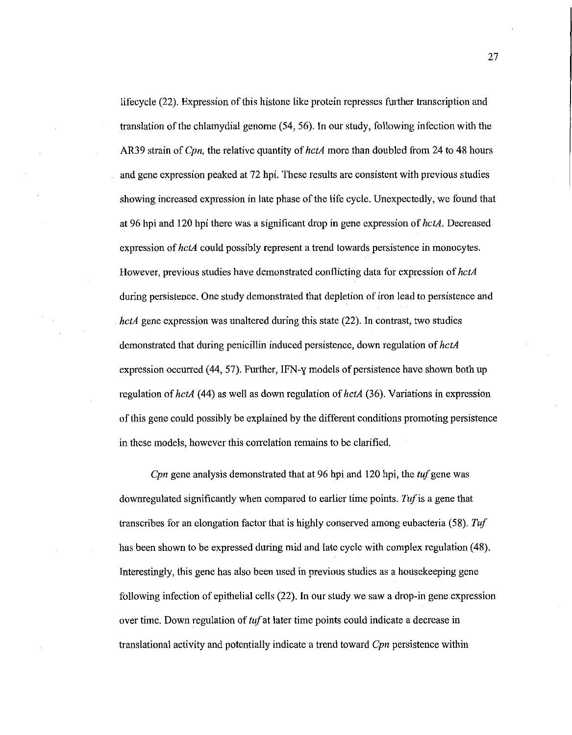lifecycle (22). Expression of this histone like protein represses ftnther transcription and translation of the chlamydia! genome (54, 56). In our study, following infection with the AR39 strain of *Cpn,* the relative quantity of *hctA* more than doubled from 24 to 48 hours and gene expression peaked at 72 hpi. These results are consistent with previous studies showing increased expression in late phase of the life cycle. Unexpectedly, we found that at 96 hpi and 120 hpi there was a significant drop in gene expression of *hctA.* Decreased expression of *hctA* could possibly represent a trend towards persistence in monocytes. However, previous studies have demonstrated conflicting data for expression of *hctA*  during persistence. One study demonstrated that depletion of iron lead to persistence and *hctA* gene expression was unaltered during this state (22). In contrast, two studies demonstrated that during penicillin induced persistence, down regulation of *hctA*  expression occurred (44, 57). Further, IFN-y models of persistence have shown both up regulation of *hctA* (44) as well as down regulation of *hctA* (36). Variations in expression of this gene could possibly be explained by the different conditions promoting persistence in these models, however this correlation remains to be clarified.

*Cpn* gene analysis demonstrated that at 96 hpi and 120 hpi, the *tuf* gene was downregulated significantly when compared to earlier time points. *Tuf* is a gene that transcribes for an elongation factor that is highly conserved among eubacteria (58). *Tuf*  has been shown to be expressed during mid and late cycle with complex regulation (48). Interestingly, this gene has also been used in previous studies as a housekeeping gene following infection of epithelial cells (22). In our study we saw a drop-in gene expression over time. Down regulation of *tuf* at later time points could indicate a decrease in translational activity and potentially indicate a trend toward *Cpn* persistence within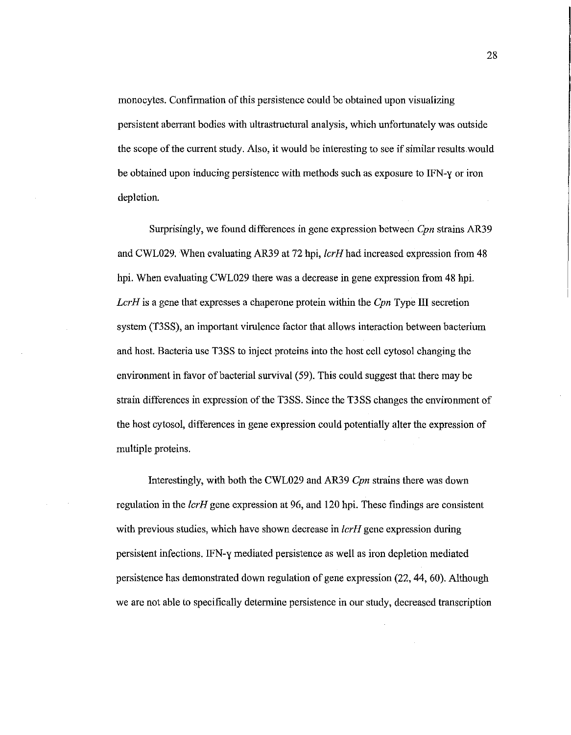monocytes. Confirmation of this persistence could be obtained upon visualizing persistent aberrant bodies with ultrastructural analysis, which unfortunately was outside the scope of the current study. Also, it would be interesting to see if similar results would be obtained upon inducing persistence with methods such as exposure to IFN-y or iron depletion.

Surprisingly, we found differences in gene expression between *Cpn* strains AR39 and CWL029. When evaluating AR39 at 72 hpi, lcrH had increased expression from 48 hpi. When evaluating CWL029 there was a decrease in gene expression from 48 hpi. *LcrH* is a gene that expresses a chaperone protein within the *Cpn* Type III secretion system (T3SS), an important virulence factor that allows interaction between bacterium and host. Bacteria use T3SS to inject proteins into the host cell cytosol changing the environment in favor of bacterial survival (59). This could suggest that there may be strain differences in expression of the T3SS. Since the T3SS changes the environment of the host cytosol, differences in gene expression could potentially alter the expression of multiple proteins.

Interestingly, with both the CWL029 and AR39 *Cpn* strains there was down regulation in the *lcrH* gene expression at 96, and 120 hpi. These findings are consistent with previous studies, which have shown decrease in *lcrH* gene expression during persistent infections. IFN-y mediated persistence as well as iron depletion mediated persistence has demonstrated down regulation of gene expression (22, 44, 60). Although we are not able to specifically detennine persistence in our study, decreased transcription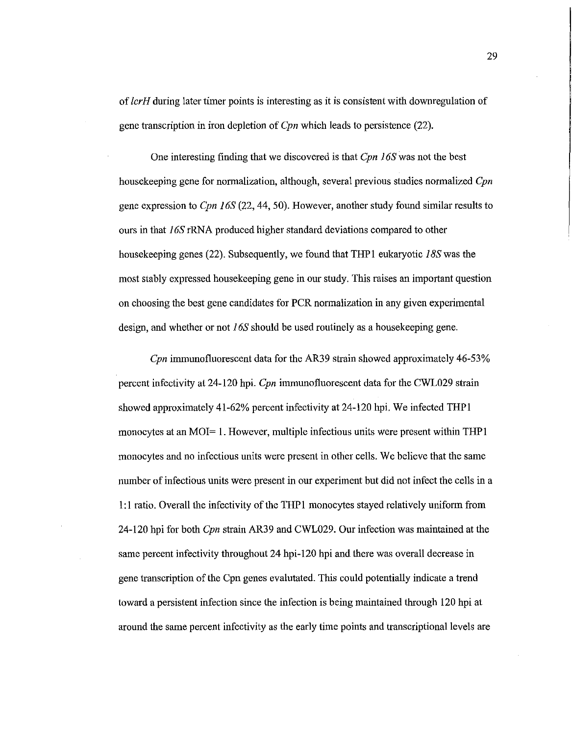of *lcrH* during later timer points is interesting as it is consistent with downregulation of gene transcription in iron depletion of *Cpn* which leads to persistence (22).

One interesting finding that we discovered is that *Cpn l 6S* was not the best housekeeping gene for normalization, although, several previous studies normalized *Cpn*  gene expression to *Cpn* J *6S* (22, 44, 50). However, another study found similar results to ours in that l *6S* rRNA produced higher standard deviations compared to other housekeeping genes (22). Subsequently, we found that THPl eukaryotic *I BS* was the most stably expressed housekeeping gene in our study. This raises an important question on choosing the best gene candidates for PCR normalization in any given experimental design, and whether or not 16S should be used routinely as a housekeeping gene.

*Cpn* immunofluorescent data for the AR39 strain showed approximately 46-53% percent infectivity at 24-120 hpi. *Cpn* immunofluorescent data for the CWL029 strain showed approximately 41-62% percent infectivity at 24-120 hpi. We infected THPl monocytes at an MOI= 1. However, multiple infectious units were present within THP1 monocytes and no infectious units were present in other cells. We believe that the same number of infectious units were present in our experiment but did not infect the cells in a 1:1 ratio. Overall the infectivity of the THPl monocytes stayed relatively uniform from 24-120 hpi for both *Cpn* strain AR39 and CWL029. Our infection was maintained at the same percent infectivity throughout 24 hpi-120 hpi and there was overall decrease in gene transcription of the Cpn genes evalutated. This could potentially indicate a trend toward a persistent infection since the infection is being maintained through 120 hpi at around the same percent infectivity as the early time points and transcriptional levels are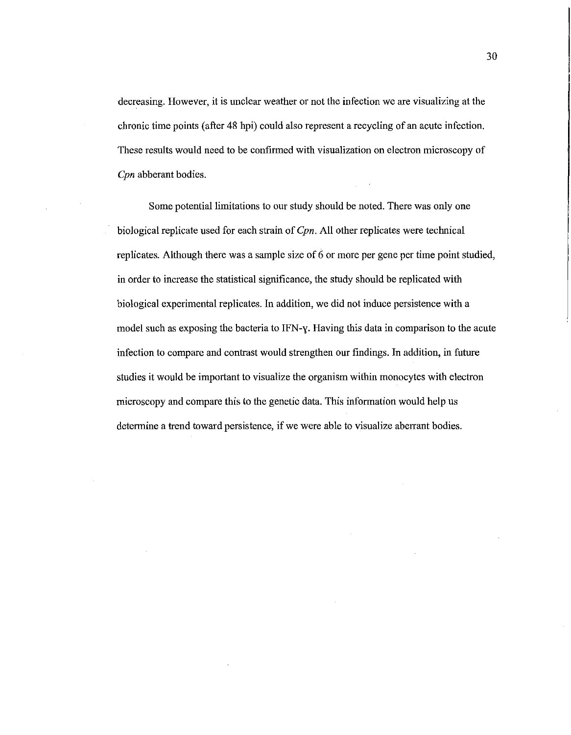decreasing. However, it is unclear weather or not the infection we are visualizing at the chronic time points (after 48 hpi) could also represent a recycling of an acute infection. These results would need to be confirmed with visualization on electron microscopy of *Cpn* abberant bodies.

Some potential limitations to our study should be noted. There was only one biological replicate used for each strain of *Cpn.* All other replicates were technical replicates. Although there was a sample size of 6 or more per gene per time point studied, in order to increase the statistical significance, the study should be replicated with biological experimental replicates. In addition, we did not induce persistence with a model such as exposing the bacteria to IFN-y. Having this data in comparison to the acute infection to compare and contrast would strengthen our findings. In addition, in future studies it would be important to visualize the organism within monocytes with electron microscopy and compare this to the genetic data. This information would help us determine a trend toward persistence, if we were able to visualize aberrant bodies.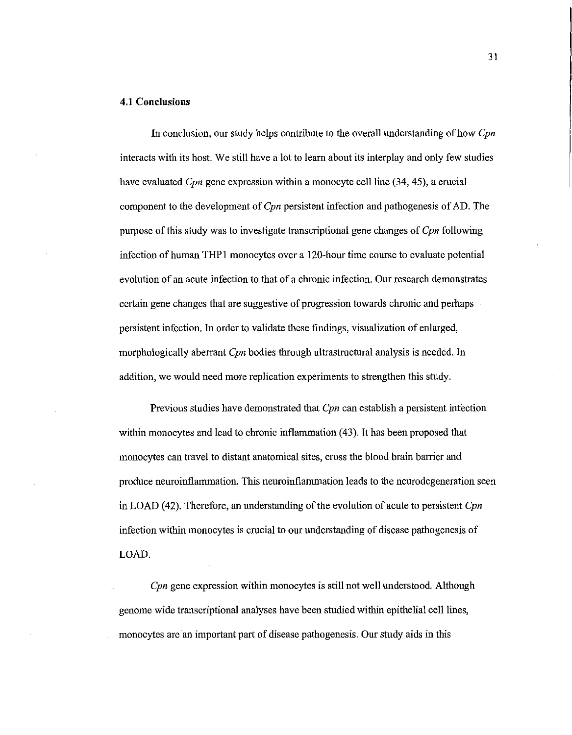#### **4.1 Conclusions**

In conclusion, our study helps contribute to the overall understanding of how *Cpn*  interacts with its host. We still have a lot to learn about its interplay and only few studies have evaluated *Cpn* gene expression within a monocyte cell line (34, 45), a crucial component to the development of *Cpn* persistent infection and pathogenesis of AD. The purpose of this study was to investigate transcriptional gene changes of *Cpn* following infection of human THP1 monocytes over a 120-hour time course to evaluate potential evolution of an acute infection to that of a chronic infection. Our research demonstrates certain gene changes that are suggestive of progression towards chronic and perhaps persistent infection. In order to validate these findings, visualization of enlarged, morphologically aberrant *Cpn* bodies through ultrastructural analysis is needed. In addition, we would need more replication experiments to strengthen this study.

Previous studies have demonstrated that *Cpn* can establish a persistent infection within monocytes and lead to chronic inflammation (43). It has been proposed that monocytes can travel to distant anatomical sites, cross the blood brain barrier and produce neuroinflammation. This neuroinflammation leads to the neurodegeneration seen in LOAD ( 42). Therefore, an understanding of the evolution of acute to persistent *Cpn*  infection within monocytes is crucial to our understanding of disease pathogenesis of LOAD.

*Cpn* gene expression within monocytes is still not well understood. Although genome wide transcriptional analyses have been studied within epithelial cell lines, monocytes are an important part of disease pathogenesis. Our study aids in this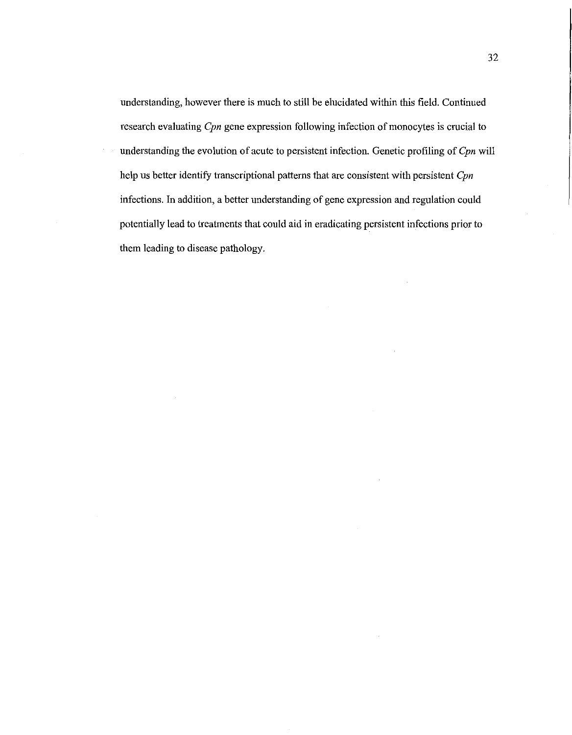understanding, however there is much to still be elucidated within this field. Continued research evaluating *Cpn* gene expression following infection of monocytes is crucial to understanding the evolution of acute to persistent infection. Genetic profiling of *Cpn* will help us better identify transcriptional patterns that are consistent with persistent *Cpn*  infections. In addition, a better understanding of gene expression and regulation could potentially lead to treatments that could aid in eradicating persistent infections prior to them leading to disease pathology.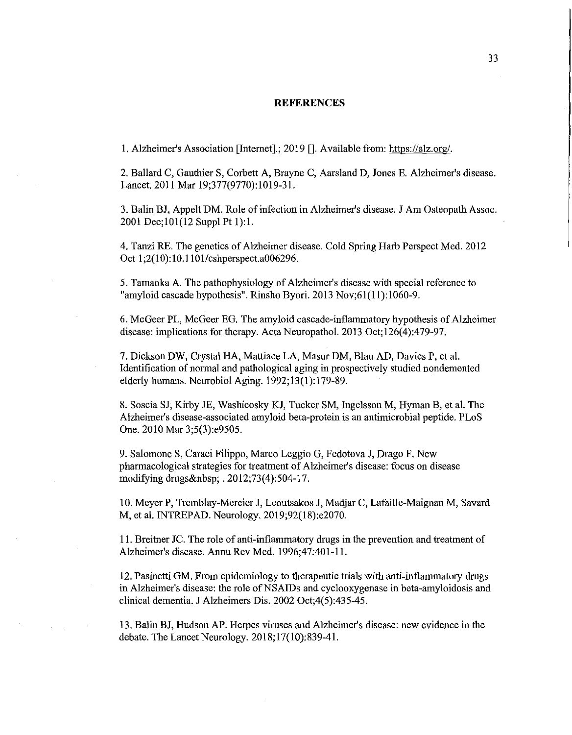#### **REFERENCES**

1. Alzheimer's Association [Internet].; 2019 [].Available from: https://alz.org/.

2. Ballard C, Gauthier S, Corbett A, Brayne C, Aarsland D, Jones E. Alzheimer's disease. Lancet. 2011 Mar 19;377(9770):1019-31.

3. Balin BJ, Appelt DM. Role of infection in Alzheimer's disease. J Am Osteopath Assoc. 2001 Dec;l01(12 Suppl Pt 1):1.

4. Tanzi RE. The genetics of Alzheimer disease. Cold Spring Harb Perspect Med. 2012 Oct 1;2(10):10.l 101/cshperspect.a006296.

5. Tamaoka A. The pathophysiology of Alzheimer's disease with special reference to "amyloid cascade hypothesis". Rinsho Byori. 2013 Nov;61(11):1060-9.

6. McGeer PL, McGeer EG. The arnyloid cascade-inflammatory hypothesis of Alzheimer disease: implications for therapy. Acta Neuropathol. 2013 Oct;126(4):479-97.

7. Dickson DW, Crystal HA, Mattiace LA, Masur DM, Blau AD, Davies P, et al. Identification of normal and pathological aging in prospectively studied nondemented elderly humans. Neurobiol Aging. 1992; 13(1):179-89.

8. Soscia SJ, Kirby JE, Washicosky KJ, Tucker SM, Ingelsson M, Hyman B, et al. The Alzheimer's disease-associated amyloid beta-protein is an antimicrobial peptide. PLoS One. 2010 Mar 3;5(3):e9505.

9. Salomone S, Caraci Filippo, Marco Leggio G, Fedotova J, Drago F. New pharmacological strategies for treatment of Alzheimer's disease: focus on disease modifying drugs . 2012;73(4):504-17.

10. Meyer P, Tremblay-Mercier J, Leoutsakos **J,** Madjar C, Lafaille-Maignan M, Savard M, et al. INTREPAD. Neurology. 2019;92(18):e2070.

11. Breitner JC. The role of anti-inflammatory drugs in the prevention and treatment of Alzheimer's disease. Annu Rev Med. 1996;47:401-11.

12. Pasinetti GM. From epidemiology to therapeutic trials with anti-inflammatory drugs in Alzheimer's disease: the role of NSAIDs and cyclooxygenase in beta-amyloidosis and clinical dementia. **J** Alzheimers Dis. 2002 Oct;4(5):435-45.

13. Balin BJ, Hudson AP. Herpes viruses and Alzheimer's disease: new evidence in the debate. The Lancet Neurology. 2018; 17(10):839-41.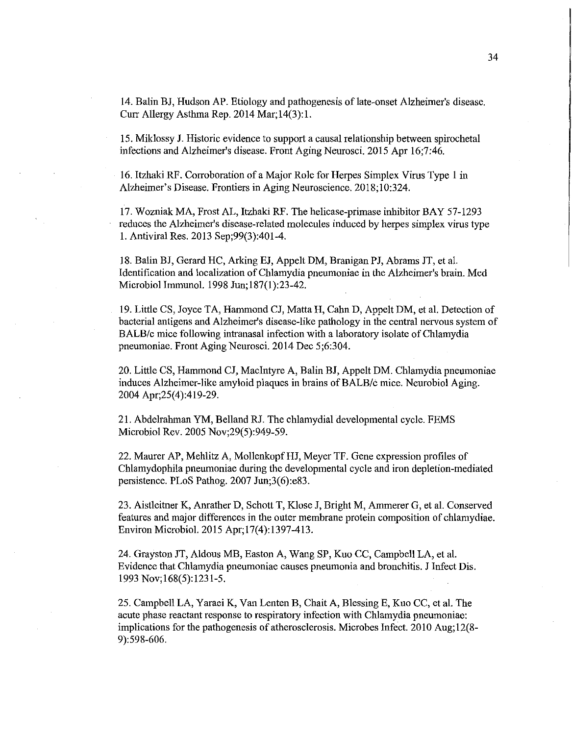14. Balin BJ, Hudson AP. Etiology and pathogenesis of late-onset Alzheimer's disease. Curr Allergy Asthma Rep. 2014 Mar;l4(3):1.

15. Miklossy J. Historic evidence to support a causal relationship between spirochetal infections and Alzheimer's disease. Front Aging Neurosci. 2015 Apr 16;7:46.

16. Itzbaki RF. Corroboration of a Major Role for Herpes Simplex Virus Type 1 in Alzheimer's Disease. Frontiers in Aging Neuroscience. 2018;10:324.

17. Wozniak MA, Frost AL, ltzbaki RF. The helicase-primase inhibitor BAY 57-1293 reduces the Alzheimer's disease-related molecules induced by herpes simplex virus type 1. Antiviral Res. 2013 Sep;99(3):401-4.

18. Balin BJ, Gerard HC, Arking EJ, Appelt DM, Branigan PJ, Abrams JT, et aL Identification and localization of Chlamydia pneumoniae in the Alzheimer's brain. Med Microbial Immunol. 1998 Jun;l87(1):23-42.

19. Little CS, Joyce TA, Hammond CJ, Matta H, Cahn D, Appelt DM, et al. Detection of bacterial antigens and Alzheimer's disease-like pathology in the central nervous system of BALB/c mice following intranasal infection with a laboratory isolate of Chlamydia pneumoniae. Front Aging Neurosci. 2014 Dec 5;6:304.

20. Little CS, Hammond CJ, Macintyre A, Balin BJ, Appelt DM. Chlamydia pneumoniae induces Alzheimer-like amyloid plaques in brains of BALB/c mice. Neurobiol Aging. 2004 Apr;25(4):419-29.

21. Abdelrahman YM, Belland RJ. The chlamydia! developmental cycle. FEMS Microbial Rev. 2005 Nov;29(5):949-59.

22. Maurer AP, Mehlitz A, Mollenkopf HJ, Meyer TF. Gene expression profiles of Chlamydophila pneumoniae during the developmental cycle and iron depletion-mediated persistence. PLoS Pathog. 2007 Jun;3(6):e83.

23. Aistleitner K, Anrather D, Schott T, Klose J, Bright M, Ammerer G, et al. Conserved features and major differences in the outer membrane protein composition of chlamydiae. Environ Microbial. 2015 Apr;l7(4):1397-413.

24. Grayston JT, Aldous MB, Easton A, Wang SP, Kuo CC, Campbell LA, et al. Evidence that Chlamydia pneumoniae causes pneumonia and bronchitis. J Infect Dis. 1993 Nov; 168(5): 1231-5.

25. Campbell LA, Y araei K, Van Lenten B, Chait A, Blessing E, Kuo CC, et al. The acute phase reactant response to respiratory infection with Chlamydia pneumoniae: implications for the pathogenesis of atherosclerosis. Microbes Infect. 2010 Aug;l2(8- 9):598-606.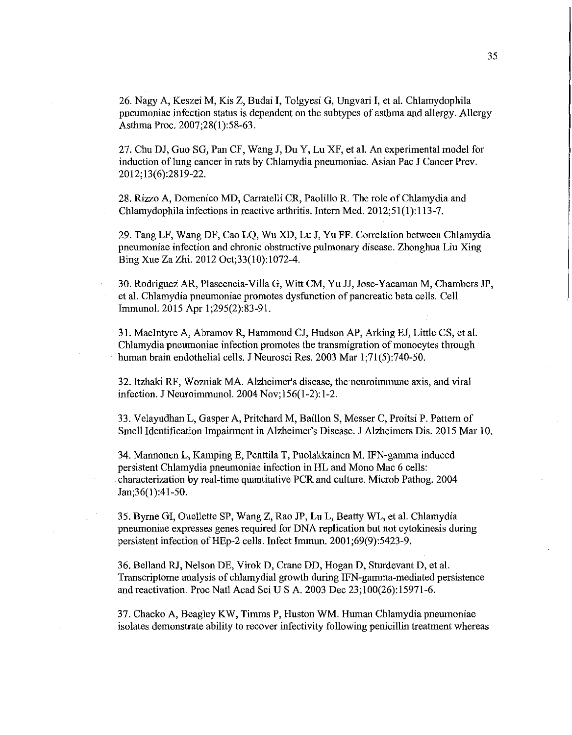26. Nagy A, Keszei M, Kis Z, Budai **I,** Tolgyesi G, Ungvari **I,** et al. Chlamydophila pneumoniae infection status is dependent on the subtypes of asthma and allergy. Allergy Asthma Proc. 2007;28(1):58-63.

27. Chu DJ, Guo SG, Pan CF, Wang **J,** Du Y, Lu XF, et al. An experimental model for induction of lung cancer in rats by Chlamydia pneumoniae. Asian Pac J Cancer Prev. 2012; 13(6):2819-22.

28. Rizzo A, Domenico MD, Carratelli CR, Paolillo R. The role of Chlamydia and Chlamydophila infections in reactive arthritis. Intern Med. 2012;51(1):113-7.

29. Tang LF, Wang DF, Cao LQ, Wu XD, Lu **J,** Yu FF. Correlation between Chlamydia pneumoniae infection and chronic obstructive pulmonary disease. Zhonghua Liu Xing Bing Xue Za Zhi. 2012 Oct;33(10):1072-4.

30. Rodriguez AR, Plascencia-Villa G, Witt CM, Yu JJ, Jose-Yacaman M, Chambers JP, et al. Chlamydia pneumoniae promotes dysfunction of pancreatic beta cells. Cell Immunol. 2015 Apr 1;295(2):83-91.

31. Macintyre A, Abramov R, Hammond CJ, Hudson AP, Arking EJ, Little CS, et al. Chlamydia pneumoniae infection promotes the transmigration of monocytes through human brain endothelial cells. J Neurosci Res. 2003 Mar 1;71(5):740-50.

32. Itzhaki RF, Wozniak MA. Alzheimer's disease, the neuroimmune axis, and viral infection. JNeuroimmunol. 2004 Nov;l56(1-2):1-2.

33. Velayudhan L, Gasper A, Pritchard M, Baillon S, Messer C, Proitsi P. Pattern of Smell Identification Impairment in Alzheimer's Disease. J Alzheimers Dis. 2015 Mar 10.

34. Mannonen L, Kamping E, Penttila T, Puolakkainen M. IFN-gamma induced persistent Chlamydia pneumoniae infection in HL and Mono Mac 6 cells: characterization by real-time quantitative PCR and culture. Microb Pathog. 2004 Jan; 36(1): 41-50.

35. Byrne GI, Ouellette SP, Wang Z, Rao JP, Lu L, Beatty WL, et al. Chlamydia pneumoniae expresses genes required for DNA replication but not cytokinesis during persistent infection of HEp-2 cells. Infect Immun. 2001 ;69(9):5423-9.

36. Belland RJ, Nelson DE, Virok D, Crane DD, Hogan D, Sturdevant D, et al. Transcriptome analysis of chlamydia! growth during IFN-gamma-mediated persistence and reactivation. Proc Natl Acad Sci US A. 2003 Dec 23;100(26):15971-6.

37. Chacko A, Beagley KW, Timms **P,** Huston WM. Human Chlamydia pneumoniae isolates demonstrate ability to recover infectivity following penicillin treatment whereas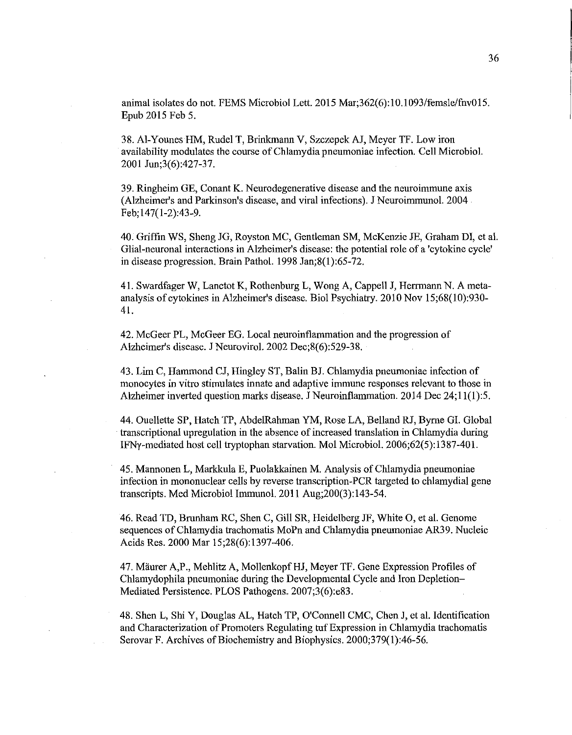animal isolates do not. FEMS Microbial Lett. 2015 Mar;362(6):10.1093/femsle/fnv015. Epub 2015 Feb 5.

38. Al-Younes HM, Rudel T, Brinkmann V, SzczepekAJ, Meyer TF. Low iron availability modulates the course of Chlamydia pneumoniae infection. Cell Microbial. 2001 Jun;3(6):427-37.

39. Ringheim GE, Conant K. Neurodegenerative disease and the neuroimmune axis (Alzheimer's and Parkinson's disease, and viral infections). J Neuroimmunol. 2004 Feb; 147( 1-2):43-9.

40. Griffin WS, Sheng JG, Royston MC, Gentleman SM, McKenzie JE, Graham DI, et al. Glial-neuronal interactions in Alzheimer's disease: the potential role of a 'cytokine cycle' in disease progression. Brain Pathol. 1998 Jan;8(1):65-72.

41. Swardfager W, Lanctot K, Rothenburg L, Wong A, Cappell J, Herrmann N. A metaanalysis of cytokines in Alzheimer's disease. Biol Psychiatry. 2010 Nov 15;68(10):930- 41.

42. McGeer PL, McGeer EG. Local neuroinflammation and the progression of Alzheimer's disease. J Neurovirol. 2002 Dec;8(6):529-38.

43. Lim C, Hammond CJ, Ringley ST, Balin BJ. Chlamydia pneumoniae infection of monocytes in vitro stimulates innate and adaptive immune responses relevant to those in Alzheimer inverted question marks disease. J Neuroinflammation. 2014 Dec 24;11(1):5.

44. Ouellette SP, Hatch TP, AbdelRahman YM, Rose LA, Belland RJ, Byrne GI. Global transcriptional upregulation in the absence of increased translation in Chlamydia during IFNy-mediated host cell tryptophan starvation. Mol Microbial. 2006;62(5):1387-401.

45. Mannonen L, Markkula E, Puolakkainen M. Analysis of Chlamydia pneumoniae infection in mononuclear cells by reverse transcription-PCR targeted to chlamydial gene transcripts. Med Microbial Immunol. 2011 Aug;200(3):143-54.

46. Read TD, Brunham RC, Shen C, Gill SR, Heidelberg JF, White 0, et al. Genome sequences of Chlamydia trachomatis MoPn and Chlamydia pneumoniae AR39. Nucleic Acids Res. 2000 Mar 15;28(6):1397-406.

47. Maurer A,P., Mehlitz A, Mollenkopf HJ, Meyer TF. Gene Expression Profiles of Chlamydophila pneumoniae during the Developmental Cycle and Iron Depletion-Mediated Persistence. PLOS Pathogens. 2007;3(6):e83.

48. Shen L, Shi Y, Douglas AL, Hatch TP, O'Connell CMC, Chen J, et al. Identification and Characterization of Promoters Regulating tuf Expression in Chlamydia trachomatis Serovar F. Archives of Biochemistry and Biophysics. 2000;379(1):46-56.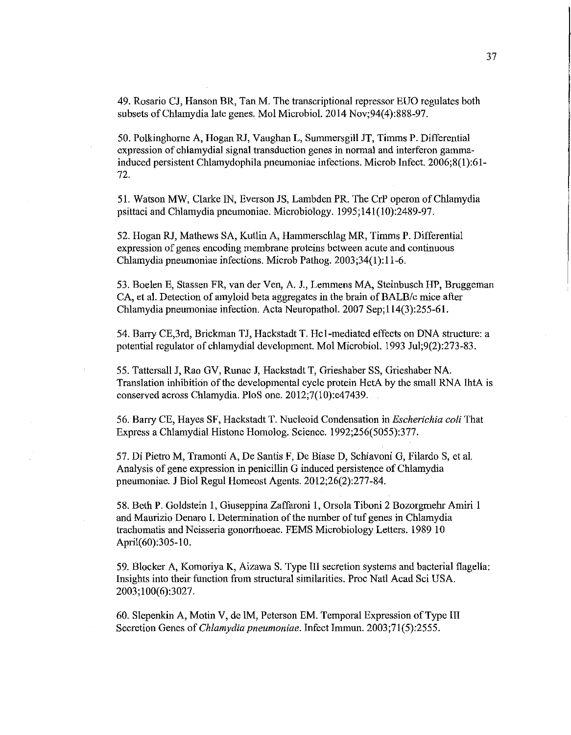49. Rosario CJ, Hanson BR, Tan M. The transcriptional repressor EUO regulates both subsets of Chlamydia late genes. Mo! Microbiol. 2014 Nov;94(4):888-97.

50. Polkinghome A, Hogan RJ, Vaughan L, Summersgill JT, Timms P. Differential expression of chlamydial signal transduction genes in normal and interferon gammainduced persistent Chlamydophila pneumoniae infections. Microb Infect. 2006;8(1):61- 72.

51. Watson MW, Clarke IN, Everson JS, Lambden PR. The CrP operon of Chlamydia psittaci and Chlamydia pneumoniae. Microbiology. 1995;141(10):2489-97.

52. Hogan RJ, Mathews SA, Kutlin A, Hammerschlag MR, Timms P. Differential expression of genes encoding membrane proteins between acute and continuous Chlamydia pneumoniae infections. Microb Pathog. 2003;34(1):11-6.

53. Boelen E, Stassen FR, van der Ven, A. J., Lemmens MA, Steinbusch HP, Bruggeman CA, et al. Detection of amyloid beta aggregates in the brain of BALB/c mice after Chlamydia pneumoniae infection. Acta Neuropathol. 2007 Sep; 114(3):255-61.

54. Barry CE,3rd, Brickman TJ, Hackstadt T. He I-mediated effects on DNA structure: a potential regulator of chlamydia! development. Mo! Microbiol. 1993 Jul;9(2):273-83.

55. Tattersall J, Rao GV, Runac J, Hackstadt T, Grieshaber SS, Grieshaber NA. Translation inhibition of the developmental cycle protein HctA by the small RNA IhtA is conserved across Chlamydia. PloS one. 2012;7(10):e47439.

56. Barry CE, Hayes SF, Hackstadt T. Nucleoid Condensation in *Escherichia coli* That Express a Chlamydia! Histone Homolog. Science. 1992;256(5055):377.

57. Di Pietro M, Tramonti A, De Santis F, De Biase D, Schiavoni G, Filardo S, et al. Analysis of gene expression in penicillin G induced persistence of Chlamydia pneumoniae. J Biol Regul Homeost Agents. 2012;26(2):277-84.

58. Beth P. Goldstein 1, Giuseppina Zaffaroni 1, Orsola Tiboni 2 Bozorgmehr Amiri 1 and Maurizio Denaro I. Determination of the number of tuf genes in Chlamydia trachomatis and Neisseria gonorrhoeae. FEMS Microbiology Letters. 1989 10 April(60):305-10.

59. Blocker A, Komoriya K, Aizawa S. Type III secretion systems and bacterial flagella: Insights into their function from structural similarities. Proc Natl Acad Sci USA. 2003;100(6):3027.

60. Slepenkin A, Motin V, de IM, Peterson EM. Temporal Expression of Type III Secretion Genes of *Chlamydia pneumoniae.* Infect Immun. 2003;71(5):2555.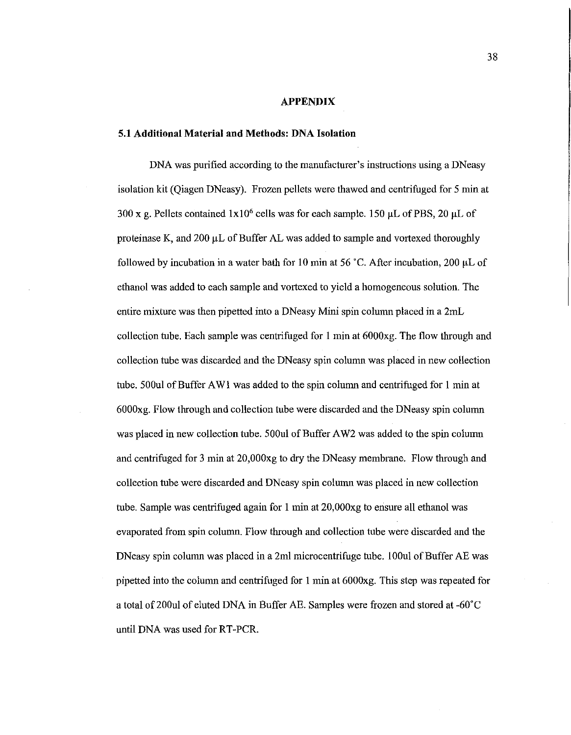#### **APPENDIX**

#### **5.1 Additional Material and Methods: DNA Isolation**

DNA was purified according to the manufacturer's instructions using a DNeasy isolation kit (Qiagen DNeasy). Frozen pellets were thawed and centrifuged for 5 min at 300 x g. Pellets contained  $1x10^6$  cells was for each sample. 150 µL of PBS, 20 µL of proteinase K, and  $200 \mu L$  of Buffer AL was added to sample and vortexed thoroughly followed by incubation in a water bath for 10 min at 56 °C. After incubation, 200  $\mu$ L of ethanol was added to each sample and vortexed to yield a homogeneous solution. The entire mixture was then pipetted into a DNeasy Mini spin column placed in a 2mL collection tube. Each sample was centrifuged for I min at 6000xg. The flow through and collection tube was discarded and the DNeasy spin column was placed in new collection tube. 500ul of Buffer AWi was added to the spin column and centrifuged for 1 min at 6000xg. Flow through and collection tube were discarded and the DNeasy spin column was placed in new collection tube. 500ul of Buffer AW2 was added to the spin column and centrifuged for 3 min at 20,000xg to dry the DNeasy membrane. Flow through and collection tube were discarded and DNeasy spin colmnn was placed in new collection tube. Sample was centrifuged again for 1 min at 20,000xg to ensure all ethanol was evaporated from spin column. Flow through and collection tube were discarded and the DNeasy spin column was placed in a 2ml microcentrifuge tube. 100ul of Buffer AE was pipetted into the column and centrifuged for 1 min at 6000xg. This step was repeated for a total of 200ul of eluted DNA in Buffer AE. Samples were frozen and stored at -60°C until DNA was used for RT-PCR.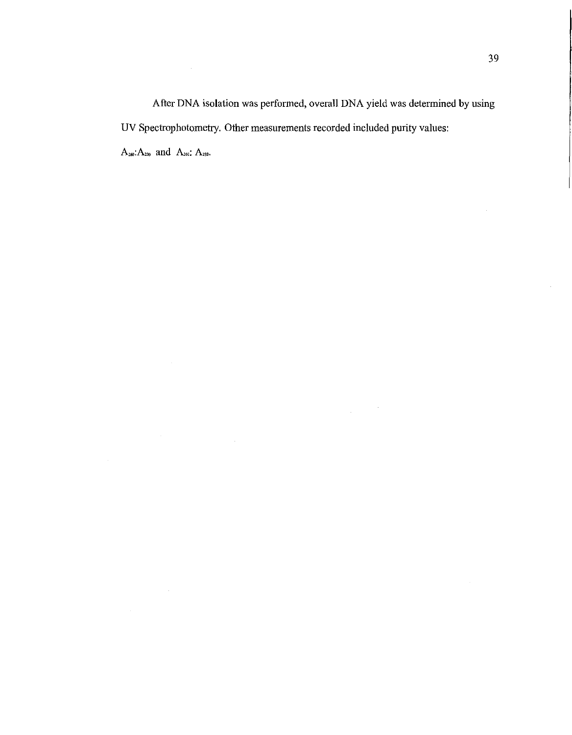After DNA isolation was performed, overall DNA yield was determined by using UV Spectrophotometry. Other measurements recorded included purity values:  $A_{260}$   $A_{230}$  and  $A_{260}$ :  $A_{280}$ .

 $\frac{1}{2} \frac{1}{2} \frac{1}{2} \frac{1}{2} \frac{1}{2} \frac{1}{2}$ 

 $\sim 10^{11}$ 

 $\sim$   $\sim$ 

 $\mathcal{L}(\mathcal{A})$  and  $\mathcal{L}(\mathcal{A})$  . The set of  $\mathcal{L}(\mathcal{A})$ 

 $\hat{f}$  and  $\hat{f}$  and  $\hat{f}$ 

 $\mathcal{L}$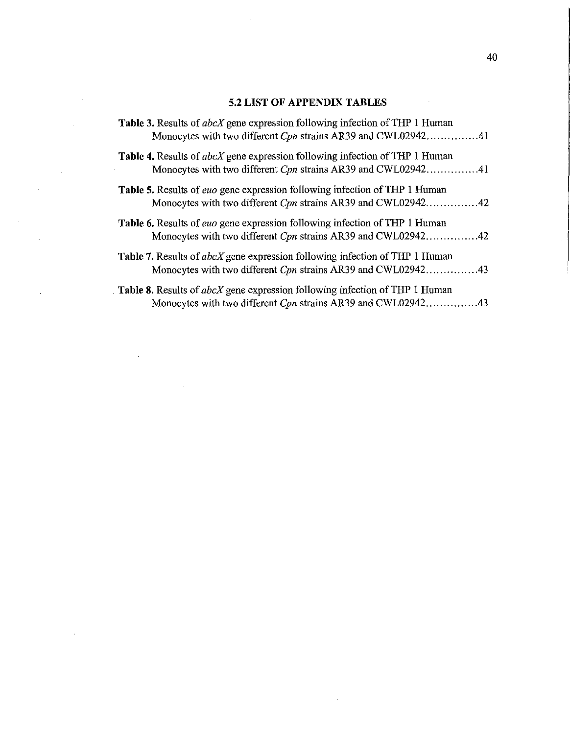### 5.2 **LIST OF APPENDIX TABLES**

 $\sim$   $\sim$ 

l,

 $\sim 10$ 

 $\sim 10^{-1}$ 

 $\sim$ 

 $\sim 10^{-11}$ 

| Table 3. Results of <i>abcX</i> gene expression following infection of THP 1 Human<br>Monocytes with two different Cpn strains AR39 and CWL0294241        |
|-----------------------------------------------------------------------------------------------------------------------------------------------------------|
| <b>Table 4.</b> Results of <i>abcX</i> gene expression following infection of THP 1 Human<br>Monocytes with two different Cpn strains AR39 and CWL0294241 |
| Table 5. Results of euo gene expression following infection of THP 1 Human                                                                                |
| <b>Table 6.</b> Results of <i>euo</i> gene expression following infection of THP 1 Human<br>Monocytes with two different Cpn strains AR39 and CWL0294242  |
| Table 7. Results of abcX gene expression following infection of THP 1 Human<br>Monocytes with two different Cpn strains AR39 and CWL0294243               |
| Table 8. Results of abcX gene expression following infection of THP 1 Human<br>Monocytes with two different Cpn strains AR39 and CWL0294243               |

 $\sim$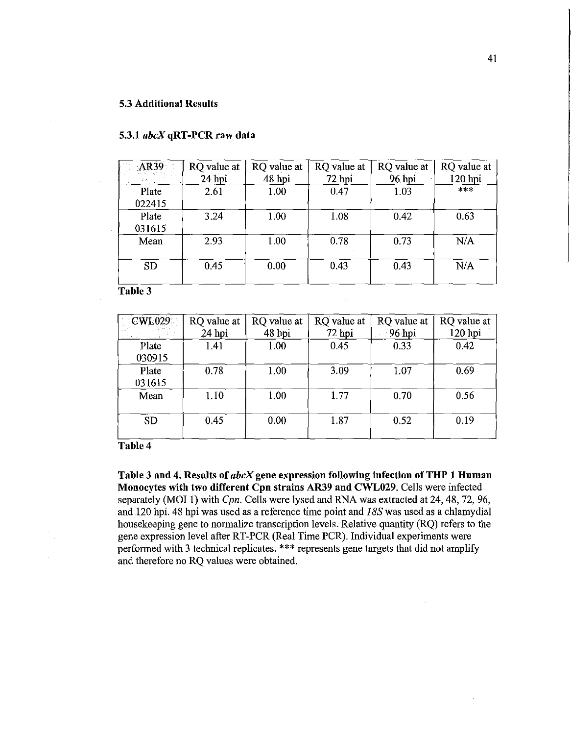#### 5.3 Additional Results

| <b>AR39</b> | RQ value at | RQ value at | RQ value at | RQ value at | RQ value at |
|-------------|-------------|-------------|-------------|-------------|-------------|
|             | $24$ hpi    | 48 hpi      | 72 hpi      | 96 hpi      | 120 hpi     |
| Plate       | 2.61        | 1.00        | 0.47        | 1.03        | $***$       |
| 022415      |             |             |             |             |             |
| Plate       | 3.24        | 1.00        | 1.08        | 0.42        | 0.63        |
| 031615      |             |             |             |             |             |
| Mean        | 2.93        | 1.00        | 0.78        | 0.73        | N/A         |
|             |             |             |             |             |             |
| <b>SD</b>   | 0.45        | 0.00        | 0.43        | 0.43        | N/A         |
|             |             |             |             |             |             |

#### 5.3.1 *abcX* qRT-PCR raw data

Table 3

| <b>CWL029</b><br>$\sim$ $\sim$ | RQ value at<br>$24$ hpi | RQ value at<br>48 hpi | RQ value at<br>$72$ hpi | RQ value at<br>$96$ hpi | RQ value at<br>120 hpi |
|--------------------------------|-------------------------|-----------------------|-------------------------|-------------------------|------------------------|
| Plate<br>030915                | 1.41                    | 1.00                  | 0.45                    | 0.33                    | 0.42                   |
| Plate<br>031615                | 0.78                    | 1.00                  | 3.09                    | 1.07                    | 0.69                   |
| Mean                           | 1.10                    | 1.00                  | 1.77                    | 0.70                    | 0.56                   |
| <b>SD</b>                      | 0.45                    | 0.00                  | 1.87                    | 0.52                    | 0.19                   |

Table4

Table 3 and 4. Results of *abcX* gene expression following infection of THP 1 Human Monocytes with two different Cpn strains AR39 and CWL029. Cells were infected separately (MOI 1) with *Cpn.* Cells were lysed and RNA was extracted at 24, 48, 72, 96, and 120 hpi. 48 hpi was used as a reference time point and J *8S* was used as a chlamydia! housekeeping gene to normalize transcription levels. Relative quantity (RQ) refers to the gene expression level after RT-PCR (Real Time PCR). Individual experiments were performed with 3 technical replicates. \*\*\* represents gene targets that did not amplify and therefore no RQ values were obtained.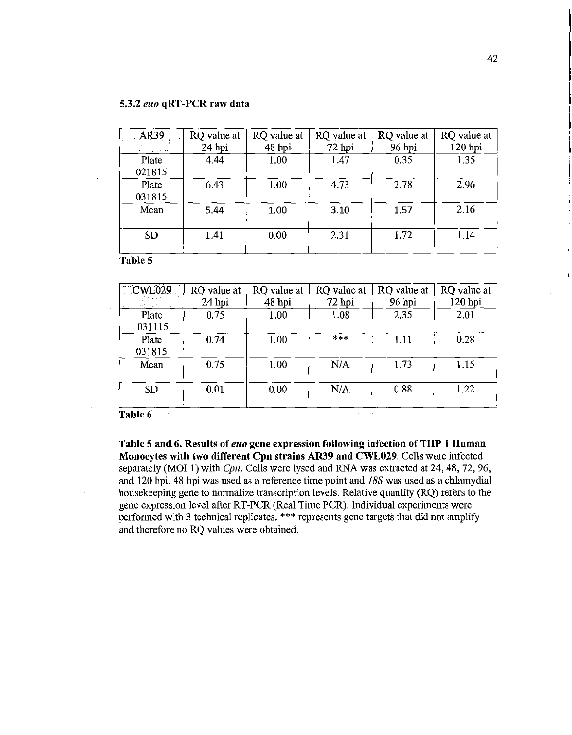| AR39            | RQ value at<br>$24$ hpi | RQ value at<br>48 hpi | RQ value at<br>$72$ hpi | RQ value at<br>96 hpi | RQ value at<br>120 hpi |
|-----------------|-------------------------|-----------------------|-------------------------|-----------------------|------------------------|
| Plate<br>021815 | 4.44                    | 1.00                  | 1.47                    | 0.35                  | 1.35                   |
| Plate<br>031815 | 6.43                    | 1.00                  | 4.73                    | 2.78                  | 2.96                   |
| Mean            | 5.44                    | 1.00                  | 3.10                    | 1.57                  | 2.16                   |
| <b>SD</b>       | 1.41                    | 0.00                  | 2.31                    | 1.72                  | 1.14                   |

Table 5

| CWL029          | RQ value at<br>24 hpi | RQ value at<br>48 hpi | RQ value at<br>72 hpi | RQ value at<br>96 hpi | RQ value at<br>120 hpi |
|-----------------|-----------------------|-----------------------|-----------------------|-----------------------|------------------------|
| Plate           | 0.75                  | 1.00                  | 1.08                  | 2.35                  | 2.01                   |
| 031115          |                       |                       |                       |                       |                        |
| Plate<br>031815 | 0.74                  | 1.00                  | $****$                | 1.11                  | 0.28                   |
| Mean            | 0.75                  | 1.00                  | N/A                   | 1.73                  | 1.15                   |
| <b>SD</b>       | 0.01                  | 0.00                  | N/A                   | 0.88                  | 1.22                   |

Table 6

Table 5 and 6. Results of *euo* gene expression following infection of THP 1 Human Monocytes with two different Cpn strains AR39 and CWL029. Cells were infected separately (MOI I) with *Cpn.* Cells were lysed and RNA was extracted at 24, 48, 72, 96, and 120 hpi. 48 hpi was used as a reference time point and *I BS* was used as a chlamydia! housekeeping gene to normalize transcription levels. Relative quantity (RQ) refers to the gene expression level after RT-PCR (Real Time PCR). Individual experiments were performed with 3 technical replicates. \*\*\* represents gene targets that did not amplify and therefore no RQ values were obtained.